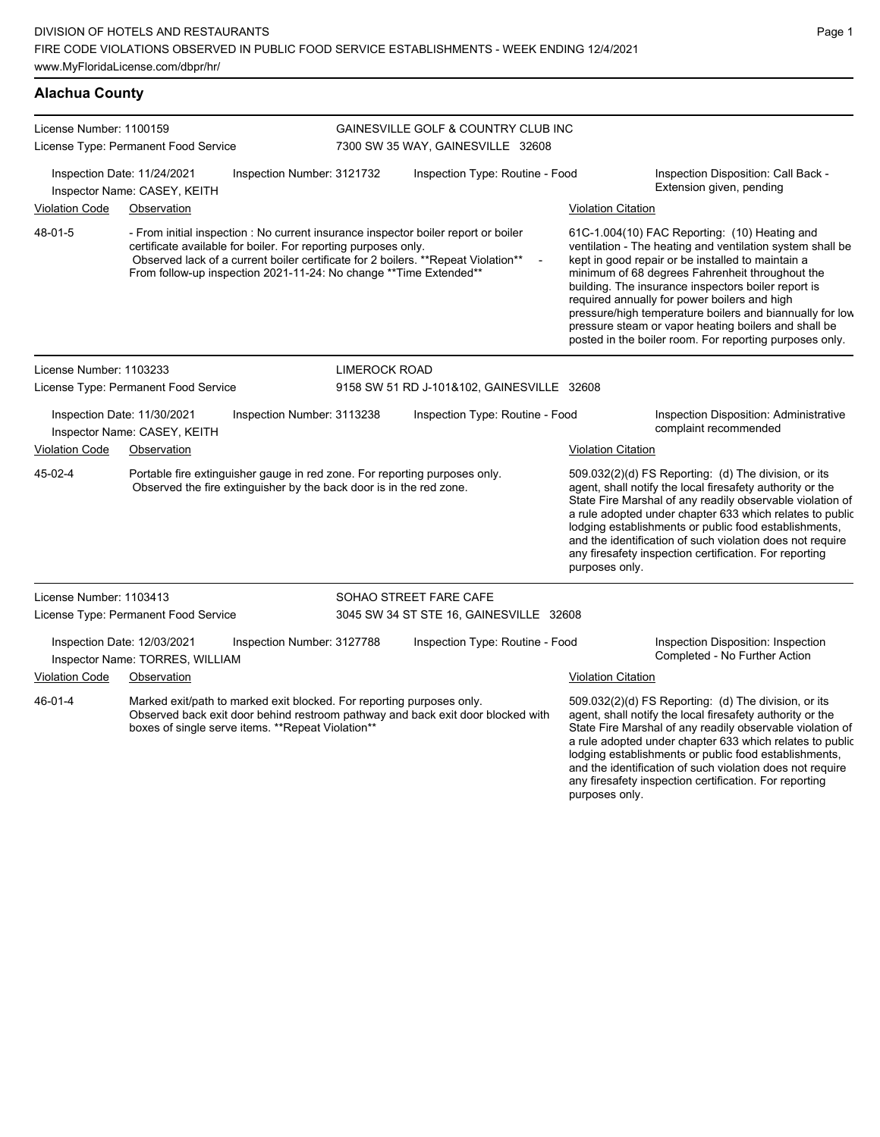| License Number: 1100159                                                                                                                                                                                                   | License Type: Permanent Food Service                        |                                                                |                                                                                                                                                                                                                                                                            | GAINESVILLE GOLF & COUNTRY CLUB INC<br>7300 SW 35 WAY, GAINESVILLE 32608 |                                                                                                                                                                                                                                                                                                                                                                                                                                                                                                          |                                                                                                                                                                                                                                                                                                                                                                                                                            |  |  |
|---------------------------------------------------------------------------------------------------------------------------------------------------------------------------------------------------------------------------|-------------------------------------------------------------|----------------------------------------------------------------|----------------------------------------------------------------------------------------------------------------------------------------------------------------------------------------------------------------------------------------------------------------------------|--------------------------------------------------------------------------|----------------------------------------------------------------------------------------------------------------------------------------------------------------------------------------------------------------------------------------------------------------------------------------------------------------------------------------------------------------------------------------------------------------------------------------------------------------------------------------------------------|----------------------------------------------------------------------------------------------------------------------------------------------------------------------------------------------------------------------------------------------------------------------------------------------------------------------------------------------------------------------------------------------------------------------------|--|--|
|                                                                                                                                                                                                                           | Inspection Date: 11/24/2021<br>Inspector Name: CASEY, KEITH | Inspection Number: 3121732                                     |                                                                                                                                                                                                                                                                            | Inspection Type: Routine - Food                                          |                                                                                                                                                                                                                                                                                                                                                                                                                                                                                                          | Inspection Disposition: Call Back -<br>Extension given, pending                                                                                                                                                                                                                                                                                                                                                            |  |  |
| Violation Code                                                                                                                                                                                                            | Observation                                                 |                                                                |                                                                                                                                                                                                                                                                            |                                                                          | <b>Violation Citation</b>                                                                                                                                                                                                                                                                                                                                                                                                                                                                                |                                                                                                                                                                                                                                                                                                                                                                                                                            |  |  |
| 48-01-5                                                                                                                                                                                                                   |                                                             | certificate available for boiler. For reporting purposes only. | - From initial inspection : No current insurance inspector boiler report or boiler<br>Observed lack of a current boiler certificate for 2 boilers. ** Repeat Violation**<br>$\overline{\phantom{a}}$<br>From follow-up inspection 2021-11-24: No change ** Time Extended** |                                                                          | 61C-1.004(10) FAC Reporting: (10) Heating and<br>ventilation - The heating and ventilation system shall be<br>kept in good repair or be installed to maintain a<br>minimum of 68 degrees Fahrenheit throughout the<br>building. The insurance inspectors boiler report is<br>required annually for power boilers and high<br>pressure/high temperature boilers and biannually for low<br>pressure steam or vapor heating boilers and shall be<br>posted in the boiler room. For reporting purposes only. |                                                                                                                                                                                                                                                                                                                                                                                                                            |  |  |
| License Number: 1103233                                                                                                                                                                                                   |                                                             |                                                                | <b>LIMEROCK ROAD</b>                                                                                                                                                                                                                                                       |                                                                          |                                                                                                                                                                                                                                                                                                                                                                                                                                                                                                          |                                                                                                                                                                                                                                                                                                                                                                                                                            |  |  |
| License Type: Permanent Food Service                                                                                                                                                                                      |                                                             |                                                                |                                                                                                                                                                                                                                                                            | 9158 SW 51 RD J-101&102, GAINESVILLE 32608                               |                                                                                                                                                                                                                                                                                                                                                                                                                                                                                                          |                                                                                                                                                                                                                                                                                                                                                                                                                            |  |  |
| Inspection Date: 11/30/2021<br>Inspection Number: 3113238<br>Inspector Name: CASEY, KEITH                                                                                                                                 |                                                             |                                                                | Inspection Type: Routine - Food                                                                                                                                                                                                                                            |                                                                          | Inspection Disposition: Administrative<br>complaint recommended                                                                                                                                                                                                                                                                                                                                                                                                                                          |                                                                                                                                                                                                                                                                                                                                                                                                                            |  |  |
| <b>Violation Code</b>                                                                                                                                                                                                     | Observation                                                 |                                                                |                                                                                                                                                                                                                                                                            |                                                                          | <b>Violation Citation</b>                                                                                                                                                                                                                                                                                                                                                                                                                                                                                |                                                                                                                                                                                                                                                                                                                                                                                                                            |  |  |
| 45-02-4<br>Portable fire extinguisher gauge in red zone. For reporting purposes only.<br>Observed the fire extinguisher by the back door is in the red zone.                                                              |                                                             |                                                                |                                                                                                                                                                                                                                                                            |                                                                          | purposes only.                                                                                                                                                                                                                                                                                                                                                                                                                                                                                           | 509.032(2)(d) FS Reporting: (d) The division, or its<br>agent, shall notify the local firesafety authority or the<br>State Fire Marshal of any readily observable violation of<br>a rule adopted under chapter 633 which relates to public<br>lodging establishments or public food establishments,<br>and the identification of such violation does not require<br>any firesafety inspection certification. For reporting |  |  |
| License Number: 1103413                                                                                                                                                                                                   |                                                             |                                                                |                                                                                                                                                                                                                                                                            | SOHAO STREET FARE CAFE                                                   |                                                                                                                                                                                                                                                                                                                                                                                                                                                                                                          |                                                                                                                                                                                                                                                                                                                                                                                                                            |  |  |
|                                                                                                                                                                                                                           | License Type: Permanent Food Service                        |                                                                |                                                                                                                                                                                                                                                                            | 3045 SW 34 ST STE 16, GAINESVILLE 32608                                  |                                                                                                                                                                                                                                                                                                                                                                                                                                                                                                          |                                                                                                                                                                                                                                                                                                                                                                                                                            |  |  |
| Inspection Date: 12/03/2021<br>Inspector Name: TORRES, WILLIAM                                                                                                                                                            |                                                             | Inspection Number: 3127788                                     |                                                                                                                                                                                                                                                                            | Inspection Type: Routine - Food                                          |                                                                                                                                                                                                                                                                                                                                                                                                                                                                                                          | Inspection Disposition: Inspection<br>Completed - No Further Action                                                                                                                                                                                                                                                                                                                                                        |  |  |
| <b>Violation Code</b>                                                                                                                                                                                                     | Observation                                                 |                                                                |                                                                                                                                                                                                                                                                            |                                                                          | <b>Violation Citation</b>                                                                                                                                                                                                                                                                                                                                                                                                                                                                                |                                                                                                                                                                                                                                                                                                                                                                                                                            |  |  |
| 46-01-4<br>Marked exit/path to marked exit blocked. For reporting purposes only.<br>Observed back exit door behind restroom pathway and back exit door blocked with<br>boxes of single serve items. ** Repeat Violation** |                                                             |                                                                |                                                                                                                                                                                                                                                                            |                                                                          | 509.032(2)(d) FS Reporting: (d) The division, or its<br>agent, shall notify the local firesafety authority or the<br>State Fire Marshal of any readily observable violation of<br>a rule adopted under chapter 633 which relates to public                                                                                                                                                                                                                                                               |                                                                                                                                                                                                                                                                                                                                                                                                                            |  |  |

Page 1

lodging establishments or public food establishments, and the identification of such violation does not require any firesafety inspection certification. For reporting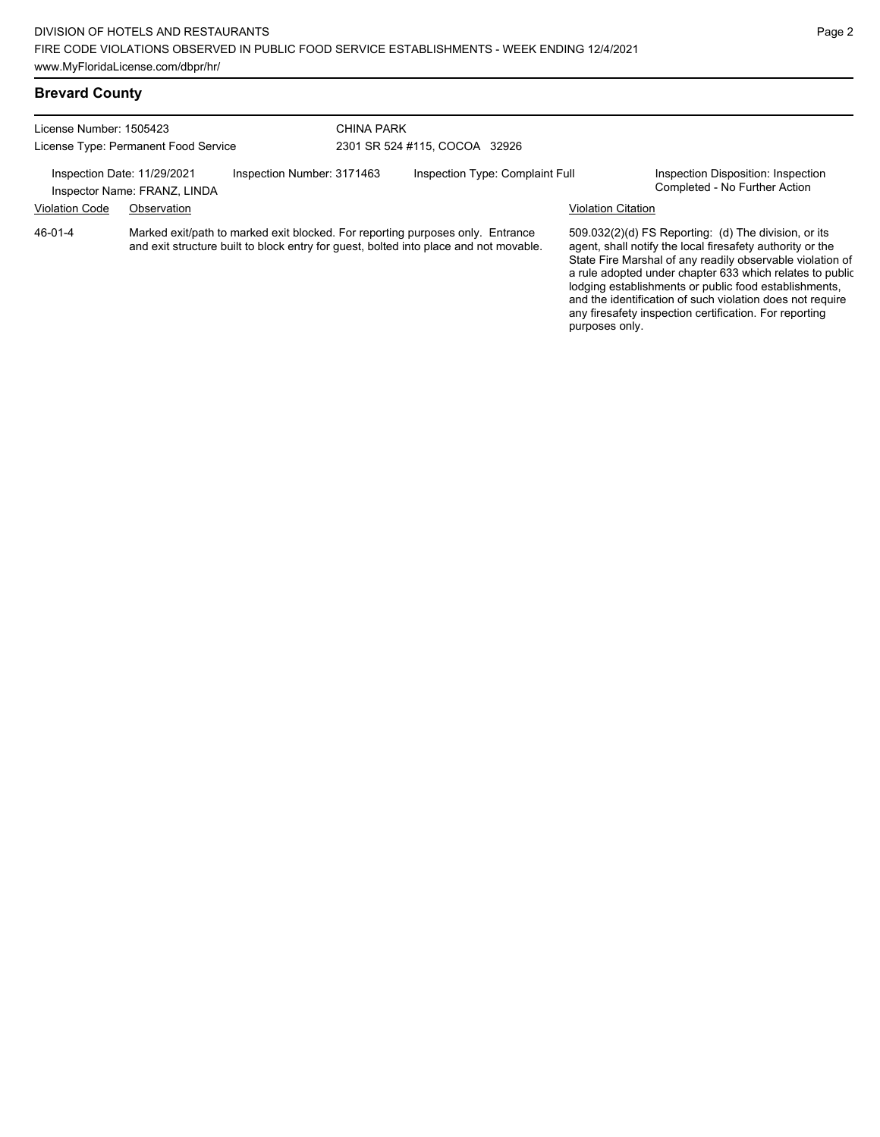### **Brevard County**

| License Number: 1505423<br>License Type: Permanent Food Service |                                                             |                            | CHINA PARK | 2301 SR 524 #115, COCOA 32926                                                                                                                                           |                           |                                                                                                                   |
|-----------------------------------------------------------------|-------------------------------------------------------------|----------------------------|------------|-------------------------------------------------------------------------------------------------------------------------------------------------------------------------|---------------------------|-------------------------------------------------------------------------------------------------------------------|
|                                                                 | Inspection Date: 11/29/2021<br>Inspector Name: FRANZ, LINDA | Inspection Number: 3171463 |            | Inspection Type: Complaint Full                                                                                                                                         |                           | Inspection Disposition: Inspection<br>Completed - No Further Action                                               |
| <b>Violation Code</b>                                           | Observation                                                 |                            |            |                                                                                                                                                                         | <b>Violation Citation</b> |                                                                                                                   |
| 46-01-4                                                         |                                                             |                            |            | Marked exit/path to marked exit blocked. For reporting purposes only. Entrance<br>and exit structure built to block entry for guest, bolted into place and not movable. |                           | 509.032(2)(d) FS Reporting: (d) The division, or its<br>agent, shall notify the local firesafety authority or the |

State Fire Marshal of any readily observable violation of a rule adopted under chapter 633 which relates to public lodging establishments or public food establishments, and the identification of such violation does not require any firesafety inspection certification. For reporting purposes only.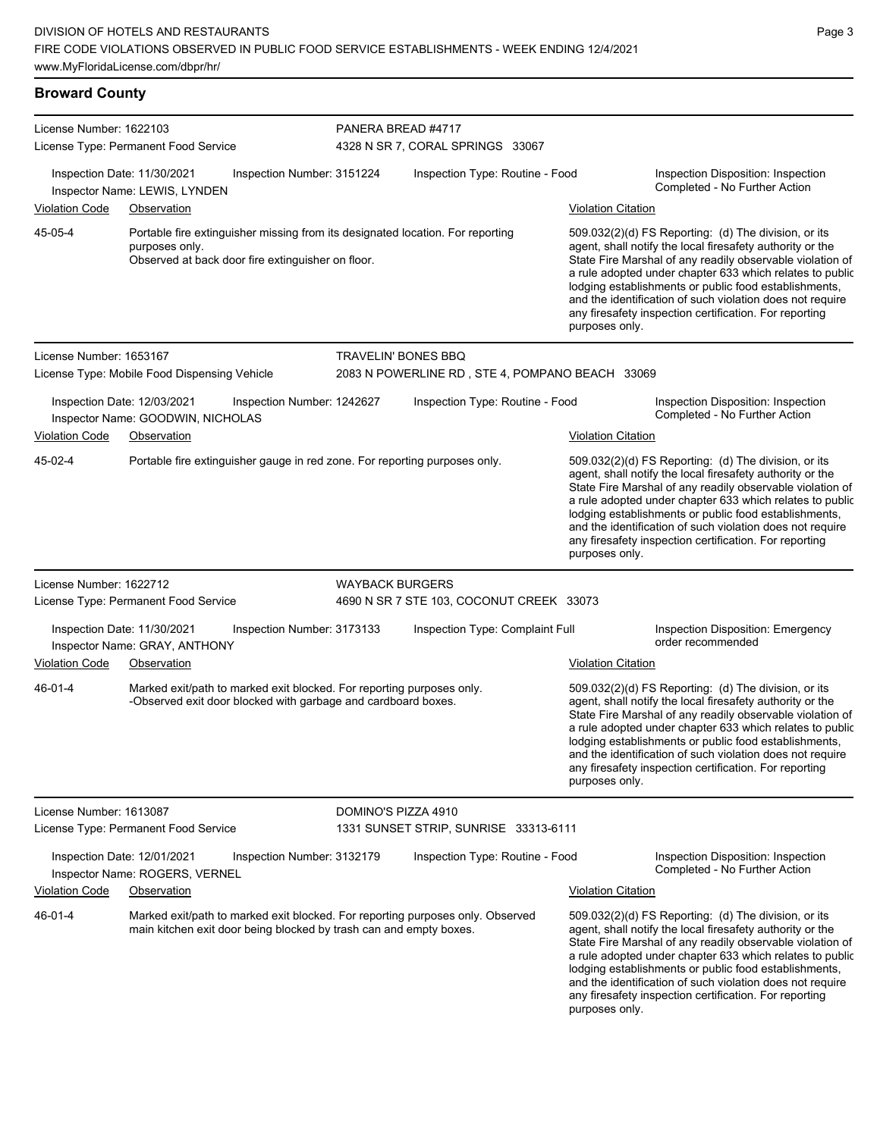**Broward County** License Number: 1622103 License Type: Permanent Food Service PANERA BREAD #4717 4328 N SR 7, CORAL SPRINGS 33067 Inspection Date: 11/30/2021 Inspection Number: 3151224 Inspection Type: Routine - Food Inspection Disposition: Inspection Inspector Name: LEWIS, LYNDEN Violation Code Observation Violation Citation Portable fire extinguisher missing from its designated location. For reporting purposes only. Observed at back door fire extinguisher on floor. 509.032(2)(d) FS Reporting: (d) The division, or its agent, shall notify the local firesafety authority or the State Fire Marshal of any readily observable violation of a rule adopted under chapter 633 which relates to public lodging establishments or public food establishments, and the identification of such violation does not require any firesafety inspection certification. For reporting purposes only. 45-05-4 License Number: 1653167 License Type: Mobile Food Dispensing Vehicle TRAVELIN' BONES BBQ 2083 N POWERLINE RD , STE 4, POMPANO BEACH 33069 Inspection Date: 12/03/2021 Inspection Number: 1242627 Inspection Type: Routine - Food Inspection Disposition: Inspection Inspector Name: GOODWIN, NICHOLAS **Completed - No Further Action** Violation Code Observation Violation Citation Portable fire extinguisher gauge in red zone. For reporting purposes only. 609.032(2)(d) FS Reporting: (d) The division, or its agent, shall notify the local firesafety authority or the State Fire Marshal of any readily observable violation of a rule adopted under chapter 633 which relates to public lodging establishments or public food establishments, and the identification of such violation does not require any firesafety inspection certification. For reporting purposes only. 45-02-4

#### License Number: 1622712 License Type: Permanent Food Service WAYBACK BURGERS 4690 N SR 7 STE 103, COCONUT CREEK 33073 Inspection Date: 11/30/2021 Inspection Number: 3173133 Inspection Type: Complaint Full Inspection Disposition: Emergency Inspector Name: GRAY, ANTHONY **Inspector Name: GRAY, ANTHONY** Violation Code Observation Violation Citation Marked exit/path to marked exit blocked. For reporting purposes only. -Observed exit door blocked with garbage and cardboard boxes. 509.032(2)(d) FS Reporting: (d) The division, or its agent, shall notify the local firesafety authority or the State Fire Marshal of any readily observable violation of a rule adopted under chapter 633 which relates to public lodging establishments or public food establishments, and the identification of such violation does not require any firesafety inspection certification. For reporting purposes only. 46-01-4 License Number: 1613087 License Type: Permanent Food Service DOMINO'S PIZZA 4910 1331 SUNSET STRIP, SUNRISE 33313-6111 Inspection Date: 12/01/2021 Inspection Number: 3132179 Inspection Type: Routine - Food Inspection Disposition: Inspection Completed - No Further Action Inspector Name: ROGERS, VERNEL Violation Code Observation Violation Citation Marked exit/path to marked exit blocked. For reporting purposes only. Observed main kitchen exit door being blocked by trash can and empty boxes. 509.032(2)(d) FS Reporting: (d) The division, or its agent, shall notify the local firesafety authority or the State Fire Marshal of any readily observable violation of a rule adopted under chapter 633 which relates to public lodging establishments or public food establishments, and the identification of such violation does not require any firesafety inspection certification. For reporting purposes only. 46-01-4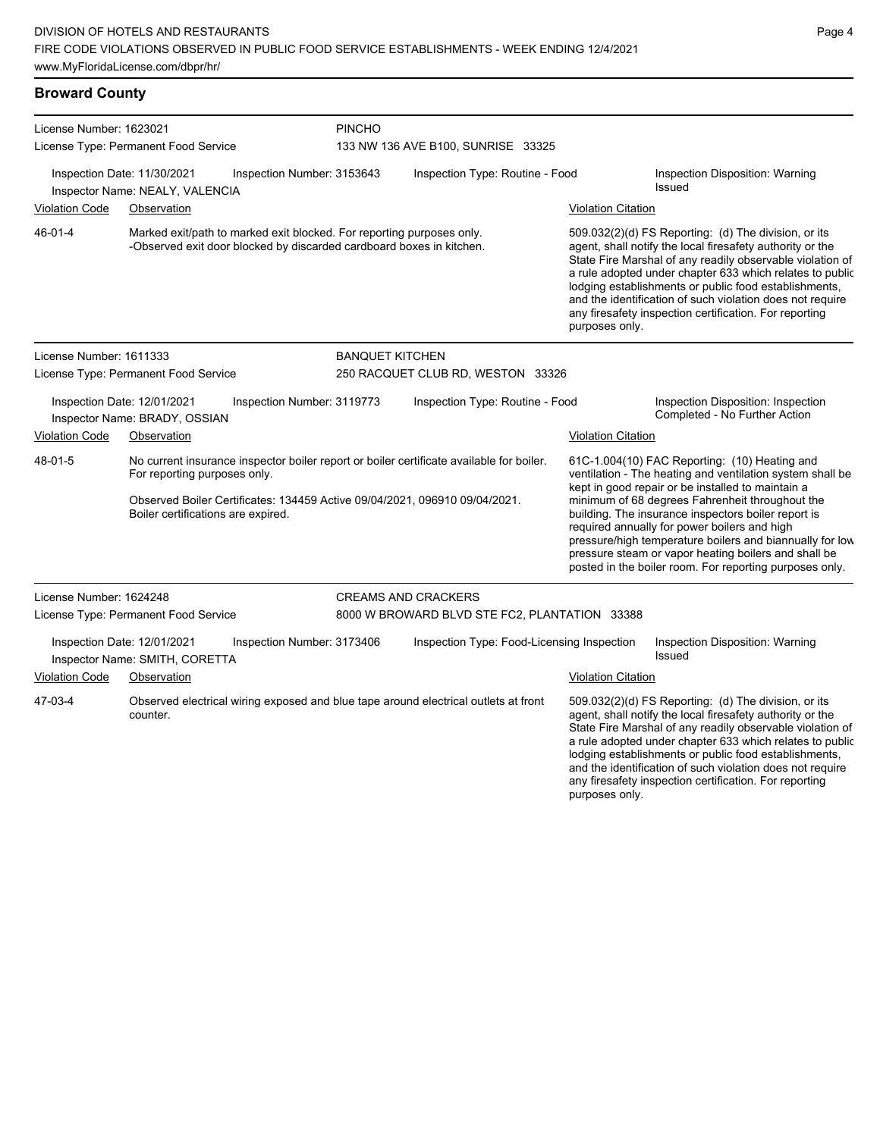**Broward County** License Number: 1623021 License Type: Permanent Food Service PINCHO 133 NW 136 AVE B100, SUNRISE 33325 Inspection Date: 11/30/2021 Inspection Number: 3153643 Inspection Type: Routine - Food Inspection Disposition: Warning Issued Inspector Name: NEALY, VALENCIA Violation Code Observation Violation Citation Marked exit/path to marked exit blocked. For reporting purposes only. -Observed exit door blocked by discarded cardboard boxes in kitchen. 509.032(2)(d) FS Reporting: (d) The division, or its agent, shall notify the local firesafety authority or the State Fire Marshal of any readily observable violation of a rule adopted under chapter 633 which relates to public lodging establishments or public food establishments, and the identification of such violation does not require any firesafety inspection certification. For reporting purposes only. 46-01-4 License Number: 1611333 License Type: Permanent Food Service BANQUET KITCHEN 250 RACQUET CLUB RD, WESTON 33326 Inspection Date: 12/01/2021 Inspection Number: 3119773 Inspection Type: Routine - Food Inspection Disposition: Inspection Inspector Name: BRADY, OSSIAN **Inspector Name: BRADY, OSSIAN** Violation Code Observation Violation Citation No current insurance inspector boiler report or boiler certificate available for boiler. For reporting purposes only. Observed Boiler Certificates: 134459 Active 09/04/2021, 096910 09/04/2021. Boiler certifications are expired. 61C-1.004(10) FAC Reporting: (10) Heating and ventilation - The heating and ventilation system shall be kept in good repair or be installed to maintain a minimum of 68 degrees Fahrenheit throughout the building. The insurance inspectors boiler report is required annually for power boilers and high pressure/high temperature boilers and biannually for low pressure steam or vapor heating boilers and shall be posted in the boiler room. For reporting purposes only. 48-01-5 License Number: 1624248 License Type: Permanent Food Service CREAMS AND CRACKERS 8000 W BROWARD BLVD STE FC2, PLANTATION 33388 Inspection Date: 12/01/2021 Inspection Number: 3173406 Inspection Type: Food-Licensing Inspection Inspection Disposition: Warning Issued Inspector Name: SMITH, CORETTA Violation Code Observation Violation Citation Observed electrical wiring exposed and blue tape around electrical outlets at front counter. 509.032(2)(d) FS Reporting: (d) The division, or its agent, shall notify the local firesafety authority or the State Fire Marshal of any readily observable violation of a rule adopted under chapter 633 which relates to public lodging establishments or public food establishments, and the identification of such violation does not require any firesafety inspection certification. For reporting 47-03-4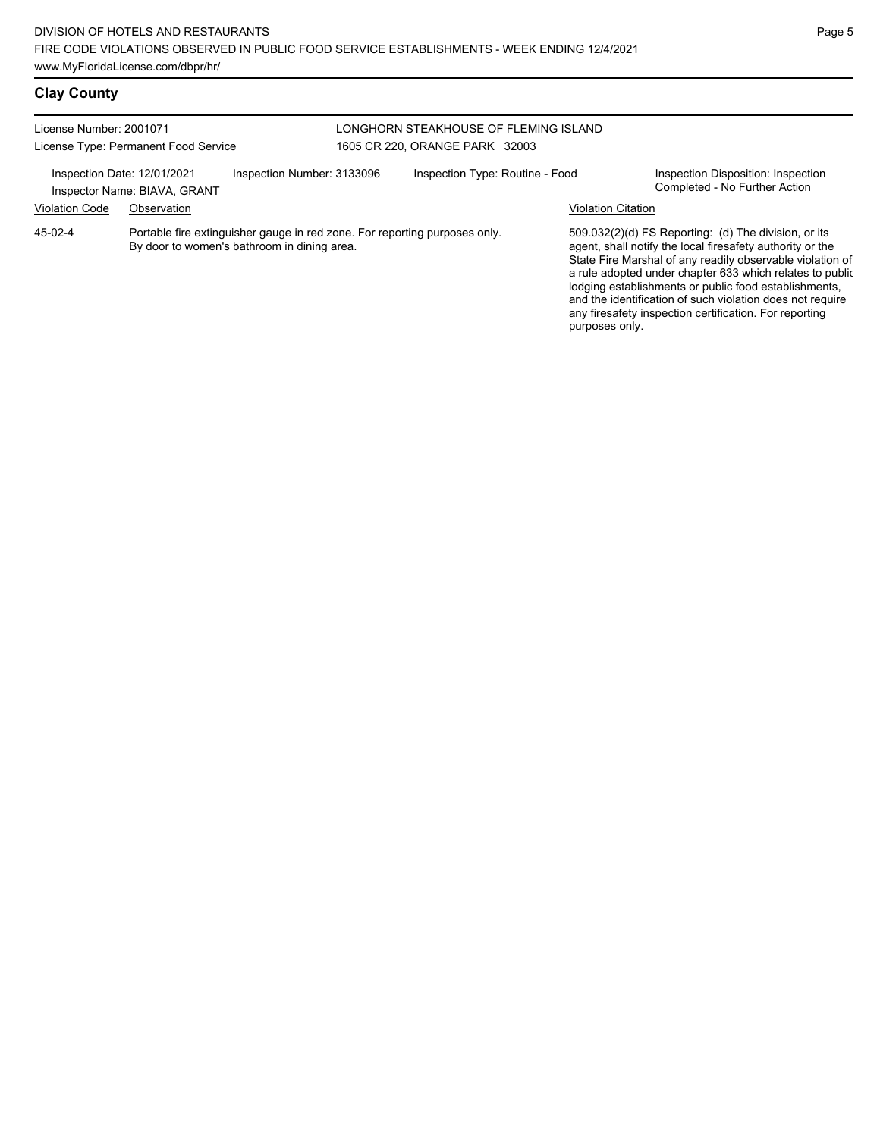# **Clay County**

| License Number: 2001071                              | License Type: Permanent Food Service                                                                                      |                            | LONGHORN STEAKHOUSE OF FLEMING ISLAND<br>1605 CR 220, ORANGE PARK 32003 |                           |                                                                                                                                                                                                                                                                                                                                                                                                                            |
|------------------------------------------------------|---------------------------------------------------------------------------------------------------------------------------|----------------------------|-------------------------------------------------------------------------|---------------------------|----------------------------------------------------------------------------------------------------------------------------------------------------------------------------------------------------------------------------------------------------------------------------------------------------------------------------------------------------------------------------------------------------------------------------|
| Inspection Date: 12/01/2021<br><b>Violation Code</b> | Inspector Name: BIAVA, GRANT<br>Observation                                                                               | Inspection Number: 3133096 | Inspection Type: Routine - Food                                         | <b>Violation Citation</b> | Inspection Disposition: Inspection<br>Completed - No Further Action                                                                                                                                                                                                                                                                                                                                                        |
| 45-02-4                                              | Portable fire extinguisher gauge in red zone. For reporting purposes only.<br>By door to women's bathroom in dining area. |                            |                                                                         | purposes only.            | 509.032(2)(d) FS Reporting: (d) The division, or its<br>agent, shall notify the local firesafety authority or the<br>State Fire Marshal of any readily observable violation of<br>a rule adopted under chapter 633 which relates to public<br>lodging establishments or public food establishments,<br>and the identification of such violation does not require<br>any firesafety inspection certification. For reporting |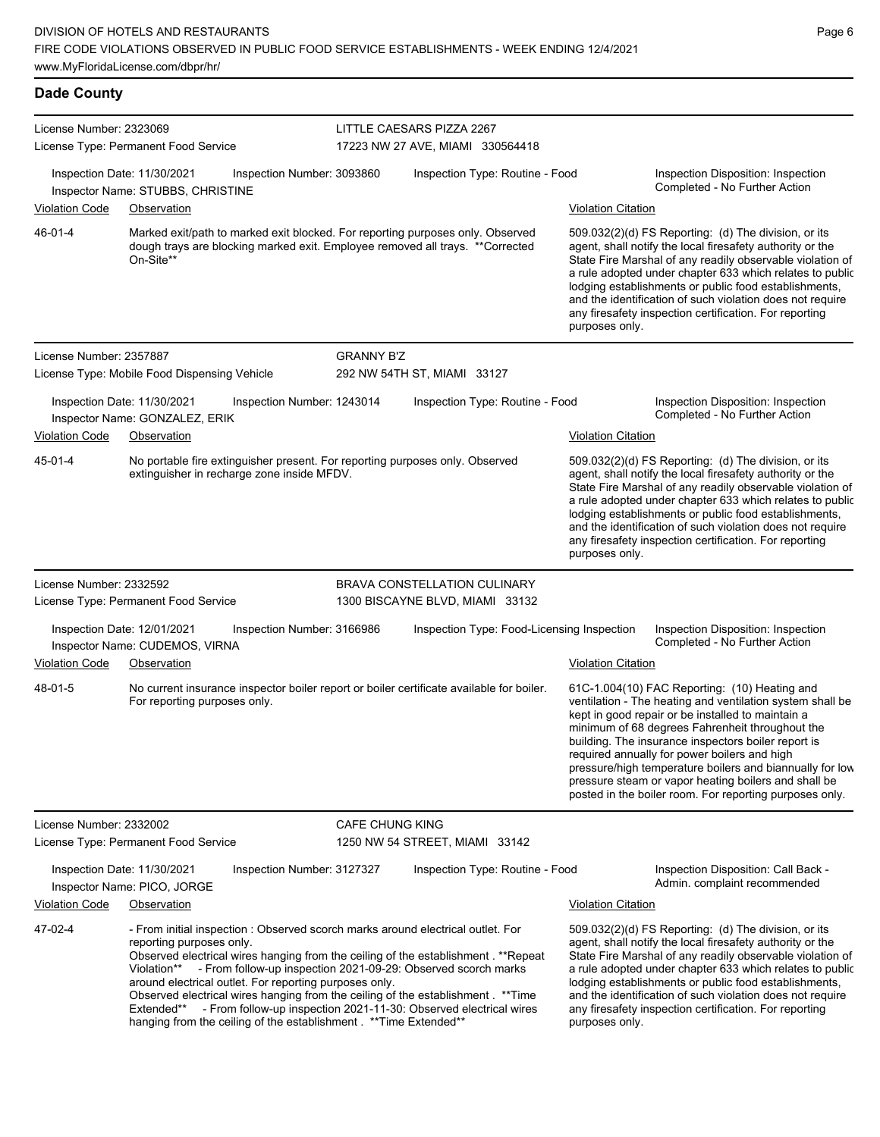# **Dade County**

| License Number: 2323069                                                                                                                                                                  | License Type: Permanent Food Service                                                                                                                                                                                                                                                                                                                                                                                                                                                                                                                                                | LITTLE CAESARS PIZZA 2267<br>17223 NW 27 AVE, MIAMI 330564418   |                                            |                                                                                                                                                                                                                                                                                                                                                                                                                                                |                                                                                                                                                                                                                                                                                                                                                                                                                                                                                                          |  |
|------------------------------------------------------------------------------------------------------------------------------------------------------------------------------------------|-------------------------------------------------------------------------------------------------------------------------------------------------------------------------------------------------------------------------------------------------------------------------------------------------------------------------------------------------------------------------------------------------------------------------------------------------------------------------------------------------------------------------------------------------------------------------------------|-----------------------------------------------------------------|--------------------------------------------|------------------------------------------------------------------------------------------------------------------------------------------------------------------------------------------------------------------------------------------------------------------------------------------------------------------------------------------------------------------------------------------------------------------------------------------------|----------------------------------------------------------------------------------------------------------------------------------------------------------------------------------------------------------------------------------------------------------------------------------------------------------------------------------------------------------------------------------------------------------------------------------------------------------------------------------------------------------|--|
|                                                                                                                                                                                          | Inspection Date: 11/30/2021<br>Inspection Number: 3093860<br>Inspector Name: STUBBS, CHRISTINE                                                                                                                                                                                                                                                                                                                                                                                                                                                                                      |                                                                 | Inspection Type: Routine - Food            |                                                                                                                                                                                                                                                                                                                                                                                                                                                | Inspection Disposition: Inspection<br>Completed - No Further Action                                                                                                                                                                                                                                                                                                                                                                                                                                      |  |
| Violation Code                                                                                                                                                                           | Observation                                                                                                                                                                                                                                                                                                                                                                                                                                                                                                                                                                         |                                                                 |                                            | <b>Violation Citation</b>                                                                                                                                                                                                                                                                                                                                                                                                                      |                                                                                                                                                                                                                                                                                                                                                                                                                                                                                                          |  |
| 46-01-4<br>Marked exit/path to marked exit blocked. For reporting purposes only. Observed<br>dough trays are blocking marked exit. Employee removed all trays. ** Corrected<br>On-Site** |                                                                                                                                                                                                                                                                                                                                                                                                                                                                                                                                                                                     |                                                                 |                                            | $509.032(2)(d)$ FS Reporting: (d) The division, or its<br>agent, shall notify the local firesafety authority or the<br>State Fire Marshal of any readily observable violation of<br>a rule adopted under chapter 633 which relates to public<br>lodging establishments or public food establishments,<br>and the identification of such violation does not require<br>any firesafety inspection certification. For reporting<br>purposes only. |                                                                                                                                                                                                                                                                                                                                                                                                                                                                                                          |  |
| License Number: 2357887                                                                                                                                                                  |                                                                                                                                                                                                                                                                                                                                                                                                                                                                                                                                                                                     | <b>GRANNY B'Z</b>                                               |                                            |                                                                                                                                                                                                                                                                                                                                                                                                                                                |                                                                                                                                                                                                                                                                                                                                                                                                                                                                                                          |  |
|                                                                                                                                                                                          | License Type: Mobile Food Dispensing Vehicle                                                                                                                                                                                                                                                                                                                                                                                                                                                                                                                                        |                                                                 | 292 NW 54TH ST, MIAMI 33127                |                                                                                                                                                                                                                                                                                                                                                                                                                                                |                                                                                                                                                                                                                                                                                                                                                                                                                                                                                                          |  |
| Inspection Date: 11/30/2021<br>Inspection Number: 1243014<br>Inspector Name: GONZALEZ, ERIK                                                                                              |                                                                                                                                                                                                                                                                                                                                                                                                                                                                                                                                                                                     |                                                                 | Inspection Type: Routine - Food            |                                                                                                                                                                                                                                                                                                                                                                                                                                                | Inspection Disposition: Inspection<br>Completed - No Further Action                                                                                                                                                                                                                                                                                                                                                                                                                                      |  |
| Violation Code                                                                                                                                                                           | Observation                                                                                                                                                                                                                                                                                                                                                                                                                                                                                                                                                                         |                                                                 |                                            | <b>Violation Citation</b>                                                                                                                                                                                                                                                                                                                                                                                                                      |                                                                                                                                                                                                                                                                                                                                                                                                                                                                                                          |  |
| 45-01-4                                                                                                                                                                                  | No portable fire extinguisher present. For reporting purposes only. Observed<br>extinguisher in recharge zone inside MFDV.                                                                                                                                                                                                                                                                                                                                                                                                                                                          |                                                                 |                                            | purposes only.                                                                                                                                                                                                                                                                                                                                                                                                                                 | 509.032(2)(d) FS Reporting: (d) The division, or its<br>agent, shall notify the local firesafety authority or the<br>State Fire Marshal of any readily observable violation of<br>a rule adopted under chapter 633 which relates to public<br>lodging establishments or public food establishments,<br>and the identification of such violation does not require<br>any firesafety inspection certification. For reporting                                                                               |  |
| License Number: 2332592                                                                                                                                                                  | License Type: Permanent Food Service                                                                                                                                                                                                                                                                                                                                                                                                                                                                                                                                                | BRAVA CONSTELLATION CULINARY<br>1300 BISCAYNE BLVD, MIAMI 33132 |                                            |                                                                                                                                                                                                                                                                                                                                                                                                                                                |                                                                                                                                                                                                                                                                                                                                                                                                                                                                                                          |  |
|                                                                                                                                                                                          | Inspection Date: 12/01/2021<br>Inspection Number: 3166986<br>Inspector Name: CUDEMOS, VIRNA                                                                                                                                                                                                                                                                                                                                                                                                                                                                                         |                                                                 | Inspection Type: Food-Licensing Inspection |                                                                                                                                                                                                                                                                                                                                                                                                                                                | Inspection Disposition: Inspection<br>Completed - No Further Action                                                                                                                                                                                                                                                                                                                                                                                                                                      |  |
| <b>Violation Code</b>                                                                                                                                                                    | Observation                                                                                                                                                                                                                                                                                                                                                                                                                                                                                                                                                                         |                                                                 |                                            | <b>Violation Citation</b>                                                                                                                                                                                                                                                                                                                                                                                                                      |                                                                                                                                                                                                                                                                                                                                                                                                                                                                                                          |  |
| 48-01-5                                                                                                                                                                                  | No current insurance inspector boiler report or boiler certificate available for boiler.<br>For reporting purposes only.                                                                                                                                                                                                                                                                                                                                                                                                                                                            |                                                                 |                                            |                                                                                                                                                                                                                                                                                                                                                                                                                                                | 61C-1.004(10) FAC Reporting: (10) Heating and<br>ventilation - The heating and ventilation system shall be<br>kept in good repair or be installed to maintain a<br>minimum of 68 degrees Fahrenheit throughout the<br>building. The insurance inspectors boiler report is<br>required annually for power boilers and high<br>pressure/high temperature boilers and biannually for low<br>pressure steam or vapor heating boilers and shall be<br>posted in the boiler room. For reporting purposes only. |  |
| License Number: 2332002                                                                                                                                                                  | License Type: Permanent Food Service                                                                                                                                                                                                                                                                                                                                                                                                                                                                                                                                                | CAFE CHUNG KING                                                 | 1250 NW 54 STREET, MIAMI 33142             |                                                                                                                                                                                                                                                                                                                                                                                                                                                |                                                                                                                                                                                                                                                                                                                                                                                                                                                                                                          |  |
|                                                                                                                                                                                          | Inspection Date: 11/30/2021<br>Inspection Number: 3127327<br>Inspector Name: PICO, JORGE                                                                                                                                                                                                                                                                                                                                                                                                                                                                                            |                                                                 | Inspection Type: Routine - Food            |                                                                                                                                                                                                                                                                                                                                                                                                                                                | Inspection Disposition: Call Back -<br>Admin. complaint recommended                                                                                                                                                                                                                                                                                                                                                                                                                                      |  |
| <b>Violation Code</b>                                                                                                                                                                    | Observation                                                                                                                                                                                                                                                                                                                                                                                                                                                                                                                                                                         |                                                                 |                                            | Violation Citation                                                                                                                                                                                                                                                                                                                                                                                                                             |                                                                                                                                                                                                                                                                                                                                                                                                                                                                                                          |  |
| 47-02-4                                                                                                                                                                                  | - From initial inspection : Observed scorch marks around electrical outlet. For<br>reporting purposes only.<br>Observed electrical wires hanging from the ceiling of the establishment . **Repeat<br>Violation** - From follow-up inspection 2021-09-29: Observed scorch marks<br>around electrical outlet. For reporting purposes only.<br>Observed electrical wires hanging from the ceiling of the establishment . ** Time<br>Extended** - From follow-up inspection 2021-11-30: Observed electrical wires<br>hanging from the ceiling of the establishment . ** Time Extended** |                                                                 |                                            | purposes only.                                                                                                                                                                                                                                                                                                                                                                                                                                 | 509.032(2)(d) FS Reporting: (d) The division, or its<br>agent, shall notify the local firesafety authority or the<br>State Fire Marshal of any readily observable violation of<br>a rule adopted under chapter 633 which relates to public<br>lodging establishments or public food establishments,<br>and the identification of such violation does not require<br>any firesafety inspection certification. For reporting                                                                               |  |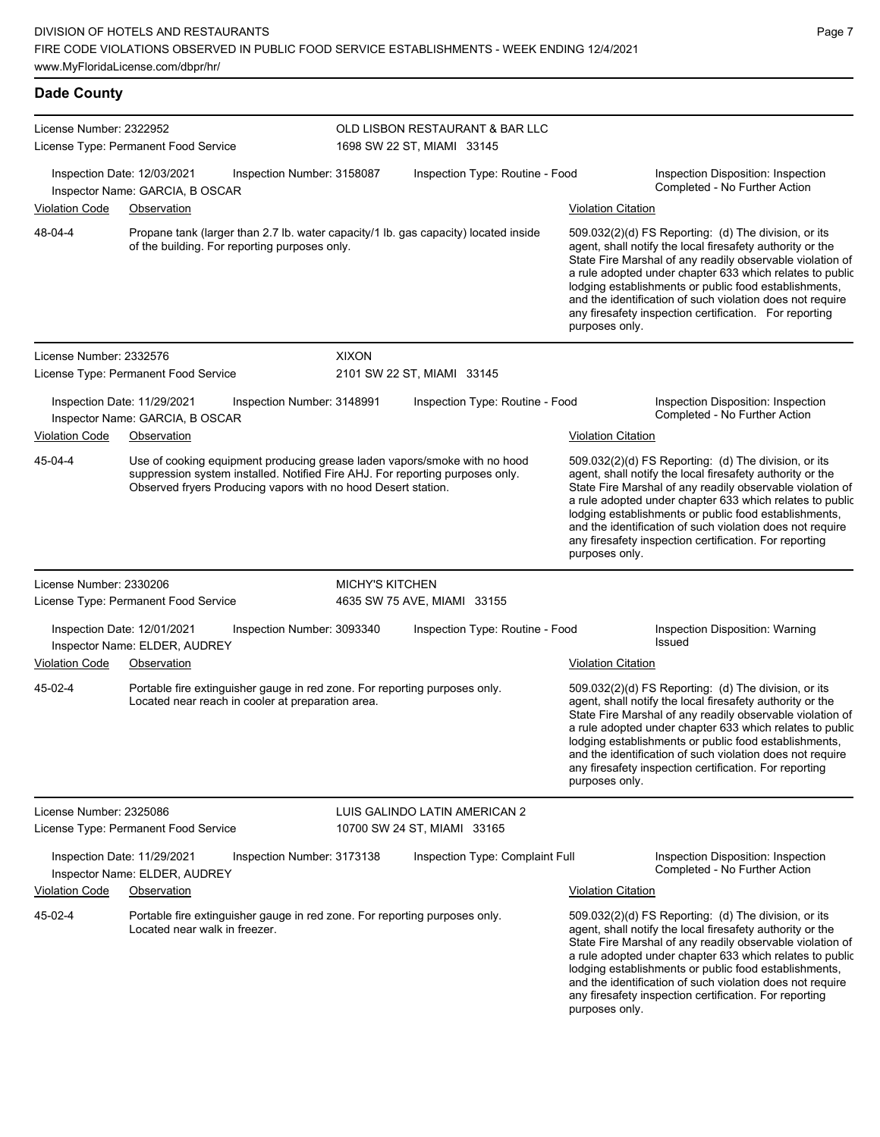| <b>Dade County</b>                                                                                                                                                                                                                     |                                                                                                                                      |                            |                                                                                                                   |                           |                                                                                                                                                                                                                                                                                                                                                                                                                            |
|----------------------------------------------------------------------------------------------------------------------------------------------------------------------------------------------------------------------------------------|--------------------------------------------------------------------------------------------------------------------------------------|----------------------------|-------------------------------------------------------------------------------------------------------------------|---------------------------|----------------------------------------------------------------------------------------------------------------------------------------------------------------------------------------------------------------------------------------------------------------------------------------------------------------------------------------------------------------------------------------------------------------------------|
| License Number: 2322952                                                                                                                                                                                                                | License Type: Permanent Food Service                                                                                                 |                            | OLD LISBON RESTAURANT & BAR LLC<br>1698 SW 22 ST, MIAMI 33145                                                     |                           |                                                                                                                                                                                                                                                                                                                                                                                                                            |
|                                                                                                                                                                                                                                        | Inspection Date: 12/03/2021<br>Inspector Name: GARCIA, B OSCAR                                                                       | Inspection Number: 3158087 | Inspection Type: Routine - Food                                                                                   |                           | Inspection Disposition: Inspection<br>Completed - No Further Action                                                                                                                                                                                                                                                                                                                                                        |
| <b>Violation Code</b>                                                                                                                                                                                                                  | Observation                                                                                                                          |                            |                                                                                                                   | <b>Violation Citation</b> |                                                                                                                                                                                                                                                                                                                                                                                                                            |
| 48-04-4                                                                                                                                                                                                                                | Propane tank (larger than 2.7 lb. water capacity/1 lb. gas capacity) located inside<br>of the building. For reporting purposes only. |                            |                                                                                                                   | purposes only.            | 509.032(2)(d) FS Reporting: (d) The division, or its<br>agent, shall notify the local firesafety authority or the<br>State Fire Marshal of any readily observable violation of<br>a rule adopted under chapter 633 which relates to public<br>lodging establishments or public food establishments,<br>and the identification of such violation does not require<br>any firesafety inspection certification. For reporting |
| License Number: 2332576                                                                                                                                                                                                                |                                                                                                                                      | <b>XIXON</b>               |                                                                                                                   |                           |                                                                                                                                                                                                                                                                                                                                                                                                                            |
|                                                                                                                                                                                                                                        | License Type: Permanent Food Service                                                                                                 |                            | 2101 SW 22 ST, MIAMI 33145                                                                                        |                           |                                                                                                                                                                                                                                                                                                                                                                                                                            |
|                                                                                                                                                                                                                                        | Inspection Date: 11/29/2021<br>Inspector Name: GARCIA, B OSCAR                                                                       | Inspection Number: 3148991 | Inspection Type: Routine - Food                                                                                   |                           | Inspection Disposition: Inspection<br>Completed - No Further Action                                                                                                                                                                                                                                                                                                                                                        |
| <b>Violation Code</b>                                                                                                                                                                                                                  | Observation                                                                                                                          |                            |                                                                                                                   | <b>Violation Citation</b> |                                                                                                                                                                                                                                                                                                                                                                                                                            |
| 45-04-4<br>Use of cooking equipment producing grease laden vapors/smoke with no hood<br>suppression system installed. Notified Fire AHJ. For reporting purposes only.<br>Observed fryers Producing vapors with no hood Desert station. |                                                                                                                                      |                            |                                                                                                                   | purposes only.            | 509.032(2)(d) FS Reporting: (d) The division, or its<br>agent, shall notify the local firesafety authority or the<br>State Fire Marshal of any readily observable violation of<br>a rule adopted under chapter 633 which relates to public<br>lodging establishments or public food establishments,<br>and the identification of such violation does not require<br>any firesafety inspection certification. For reporting |
| License Number: 2330206                                                                                                                                                                                                                |                                                                                                                                      | <b>MICHY'S KITCHEN</b>     |                                                                                                                   |                           |                                                                                                                                                                                                                                                                                                                                                                                                                            |
|                                                                                                                                                                                                                                        | License Type: Permanent Food Service                                                                                                 |                            | 4635 SW 75 AVE, MIAMI 33155                                                                                       |                           |                                                                                                                                                                                                                                                                                                                                                                                                                            |
|                                                                                                                                                                                                                                        | Inspection Date: 12/01/2021<br>Inspector Name: ELDER, AUDREY                                                                         | Inspection Number: 3093340 | Inspection Type: Routine - Food                                                                                   |                           | Inspection Disposition: Warning<br>Issued                                                                                                                                                                                                                                                                                                                                                                                  |
| <b>Violation Code</b>                                                                                                                                                                                                                  | Observation                                                                                                                          |                            |                                                                                                                   | Violation Citation        |                                                                                                                                                                                                                                                                                                                                                                                                                            |
| 45-02-4                                                                                                                                                                                                                                | Portable fire extinguisher gauge in red zone. For reporting purposes only.<br>Located near reach in cooler at preparation area.      |                            | 509.032(2)(d) FS Reporting: (d) The division, or its<br>agent, shall notify the local firesafety authority or the |                           |                                                                                                                                                                                                                                                                                                                                                                                                                            |

agent, shall notify the local firesafety authority or the State Fire Marshal of any readily observable violation of a rule adopted under chapter 633 which relates to public lodging establishments or public food establishments, and the identification of such violation does not require any firesafety inspection certification. For reporting purposes only.

| License Number: 2325086     |                                                                                                             | LUIS GALINDO LATIN AMERICAN 2 |                                 |                           |                                                                                                                                                                                                                                                                                                                                                                                                                              |  |
|-----------------------------|-------------------------------------------------------------------------------------------------------------|-------------------------------|---------------------------------|---------------------------|------------------------------------------------------------------------------------------------------------------------------------------------------------------------------------------------------------------------------------------------------------------------------------------------------------------------------------------------------------------------------------------------------------------------------|--|
|                             | License Type: Permanent Food Service                                                                        |                               | 10700 SW 24 ST, MIAMI 33165     |                           |                                                                                                                                                                                                                                                                                                                                                                                                                              |  |
| Inspection Date: 11/29/2021 | Inspection Number: 3173138<br>Inspector Name: ELDER, AUDREY                                                 |                               | Inspection Type: Complaint Full |                           | Inspection Disposition: Inspection<br>Completed - No Further Action                                                                                                                                                                                                                                                                                                                                                          |  |
| <b>Violation Code</b>       | Observation                                                                                                 |                               |                                 | <b>Violation Citation</b> |                                                                                                                                                                                                                                                                                                                                                                                                                              |  |
| 45-02-4                     | Portable fire extinguisher gauge in red zone. For reporting purposes only.<br>Located near walk in freezer. |                               |                                 | purposes only.            | $509.032(2)(d)$ FS Reporting: (d) The division, or its<br>agent, shall notify the local firesafety authority or the<br>State Fire Marshal of any readily observable violation of<br>a rule adopted under chapter 633 which relates to public<br>lodging establishments or public food establishments,<br>and the identification of such violation does not require<br>any firesafety inspection certification. For reporting |  |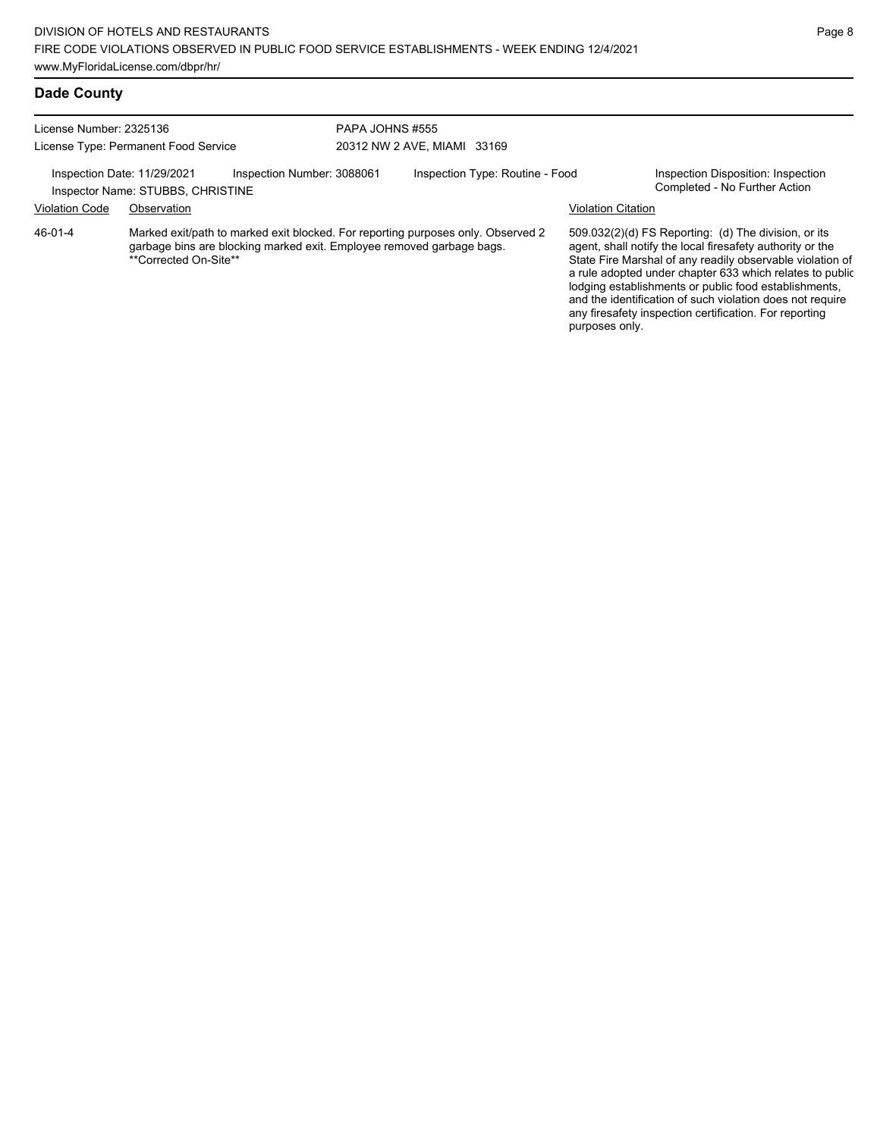#### **Dade County**

| License Number: 2325136                                                                        |                       | PAPA JOHNS #555                                                       |                             |                                                                                  |                           |                                                                                                                                                                                                                                            |
|------------------------------------------------------------------------------------------------|-----------------------|-----------------------------------------------------------------------|-----------------------------|----------------------------------------------------------------------------------|---------------------------|--------------------------------------------------------------------------------------------------------------------------------------------------------------------------------------------------------------------------------------------|
| License Type: Permanent Food Service                                                           |                       |                                                                       | 20312 NW 2 AVE, MIAMI 33169 |                                                                                  |                           |                                                                                                                                                                                                                                            |
| Inspection Date: 11/29/2021<br>Inspection Number: 3088061<br>Inspector Name: STUBBS, CHRISTINE |                       | Inspection Type: Routine - Food                                       |                             | Inspection Disposition: Inspection<br>Completed - No Further Action              |                           |                                                                                                                                                                                                                                            |
| <b>Violation Code</b>                                                                          | Observation           |                                                                       |                             |                                                                                  | <b>Violation Citation</b> |                                                                                                                                                                                                                                            |
| 46-01-4                                                                                        | **Corrected On-Site** | garbage bins are blocking marked exit. Employee removed garbage bags. |                             | Marked exit/path to marked exit blocked. For reporting purposes only. Observed 2 |                           | 509.032(2)(d) FS Reporting: (d) The division, or its<br>agent, shall notify the local firesafety authority or the<br>State Fire Marshal of any readily observable violation of<br>a rule adopted under chapter 633 which relates to public |

lodging establishments or public food establishments, and the identification of such violation does not require

any firesafety inspection certification. For reporting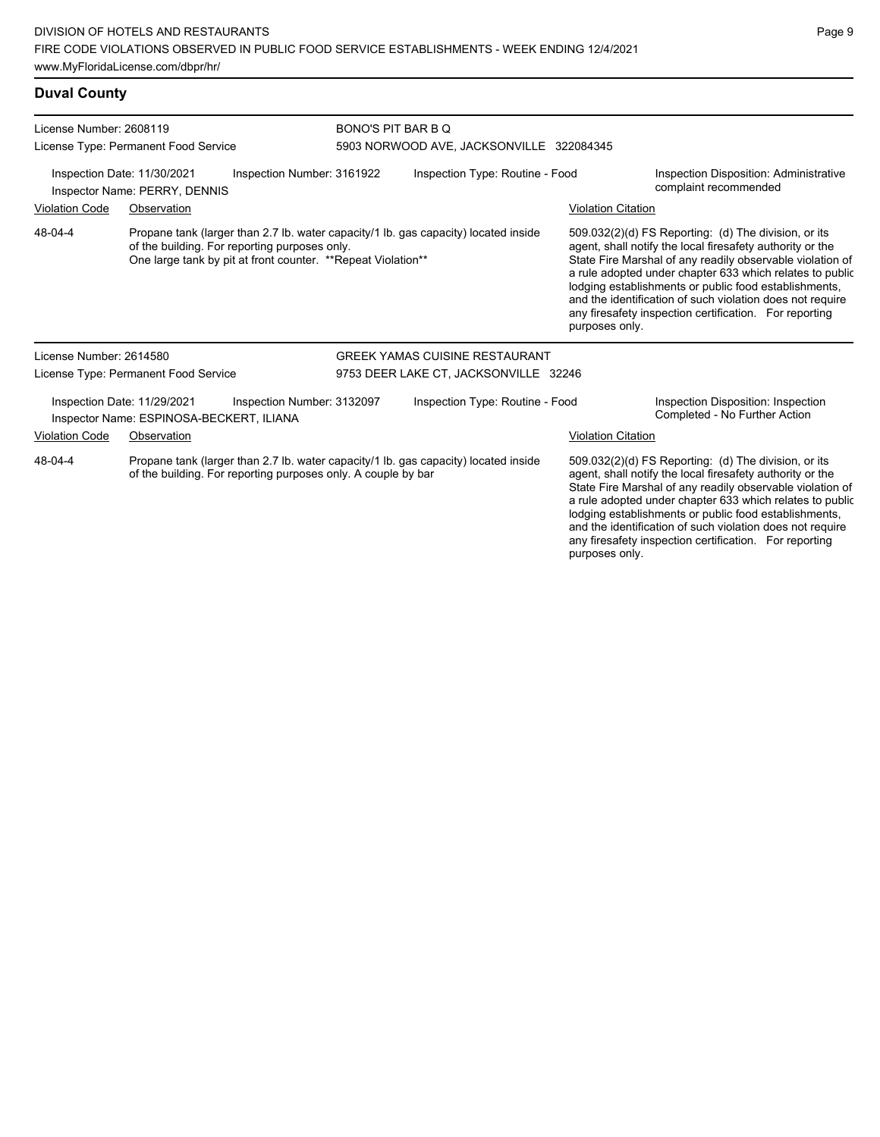# **Duval County**

| License Number: 2608119                                                                                                                                         |                                                                         |                                                                                                               |                                                                                     |                                                                                                                                                                                                                                                                                                                                                                                                                            |                                                                                                                                                                                                                                                                                                                                                                                                                            |  |  |
|-----------------------------------------------------------------------------------------------------------------------------------------------------------------|-------------------------------------------------------------------------|---------------------------------------------------------------------------------------------------------------|-------------------------------------------------------------------------------------|----------------------------------------------------------------------------------------------------------------------------------------------------------------------------------------------------------------------------------------------------------------------------------------------------------------------------------------------------------------------------------------------------------------------------|----------------------------------------------------------------------------------------------------------------------------------------------------------------------------------------------------------------------------------------------------------------------------------------------------------------------------------------------------------------------------------------------------------------------------|--|--|
|                                                                                                                                                                 | License Type: Permanent Food Service                                    |                                                                                                               | <b>BONO'S PIT BAR B Q</b><br>5903 NORWOOD AVE, JACKSONVILLE 322084345               |                                                                                                                                                                                                                                                                                                                                                                                                                            |                                                                                                                                                                                                                                                                                                                                                                                                                            |  |  |
|                                                                                                                                                                 |                                                                         |                                                                                                               |                                                                                     |                                                                                                                                                                                                                                                                                                                                                                                                                            |                                                                                                                                                                                                                                                                                                                                                                                                                            |  |  |
|                                                                                                                                                                 | Inspection Date: 11/30/2021<br>Inspector Name: PERRY, DENNIS            | Inspection Number: 3161922                                                                                    | Inspection Type: Routine - Food                                                     |                                                                                                                                                                                                                                                                                                                                                                                                                            | Inspection Disposition: Administrative<br>complaint recommended                                                                                                                                                                                                                                                                                                                                                            |  |  |
| <b>Violation Code</b><br>Observation                                                                                                                            |                                                                         |                                                                                                               |                                                                                     | <b>Violation Citation</b>                                                                                                                                                                                                                                                                                                                                                                                                  |                                                                                                                                                                                                                                                                                                                                                                                                                            |  |  |
| 48-04-4                                                                                                                                                         |                                                                         | of the building. For reporting purposes only.<br>One large tank by pit at front counter. **Repeat Violation** | Propane tank (larger than 2.7 lb. water capacity/1 lb. gas capacity) located inside | purposes only.                                                                                                                                                                                                                                                                                                                                                                                                             | 509.032(2)(d) FS Reporting: (d) The division, or its<br>agent, shall notify the local firesafety authority or the<br>State Fire Marshal of any readily observable violation of<br>a rule adopted under chapter 633 which relates to public<br>lodging establishments or public food establishments,<br>and the identification of such violation does not require<br>any firesafety inspection certification. For reporting |  |  |
| License Number: 2614580                                                                                                                                         |                                                                         |                                                                                                               | <b>GREEK YAMAS CUISINE RESTAURANT</b>                                               |                                                                                                                                                                                                                                                                                                                                                                                                                            |                                                                                                                                                                                                                                                                                                                                                                                                                            |  |  |
|                                                                                                                                                                 | License Type: Permanent Food Service                                    |                                                                                                               | 9753 DEER LAKE CT, JACKSONVILLE 32246                                               |                                                                                                                                                                                                                                                                                                                                                                                                                            |                                                                                                                                                                                                                                                                                                                                                                                                                            |  |  |
|                                                                                                                                                                 | Inspection Date: 11/29/2021<br>Inspector Name: ESPINOSA-BECKERT, ILIANA | Inspection Number: 3132097                                                                                    | Inspection Type: Routine - Food                                                     |                                                                                                                                                                                                                                                                                                                                                                                                                            | Inspection Disposition: Inspection<br>Completed - No Further Action                                                                                                                                                                                                                                                                                                                                                        |  |  |
| <b>Violation Code</b>                                                                                                                                           | Observation                                                             |                                                                                                               |                                                                                     | <b>Violation Citation</b>                                                                                                                                                                                                                                                                                                                                                                                                  |                                                                                                                                                                                                                                                                                                                                                                                                                            |  |  |
| Propane tank (larger than 2.7 lb. water capacity/1 lb. gas capacity) located inside<br>48-04-4<br>of the building. For reporting purposes only. A couple by bar |                                                                         |                                                                                                               |                                                                                     | 509.032(2)(d) FS Reporting: (d) The division, or its<br>agent, shall notify the local firesafety authority or the<br>State Fire Marshal of any readily observable violation of<br>a rule adopted under chapter 633 which relates to public<br>lodging establishments or public food establishments,<br>and the identification of such violation does not require<br>any firesafety inspection certification. For reporting |                                                                                                                                                                                                                                                                                                                                                                                                                            |  |  |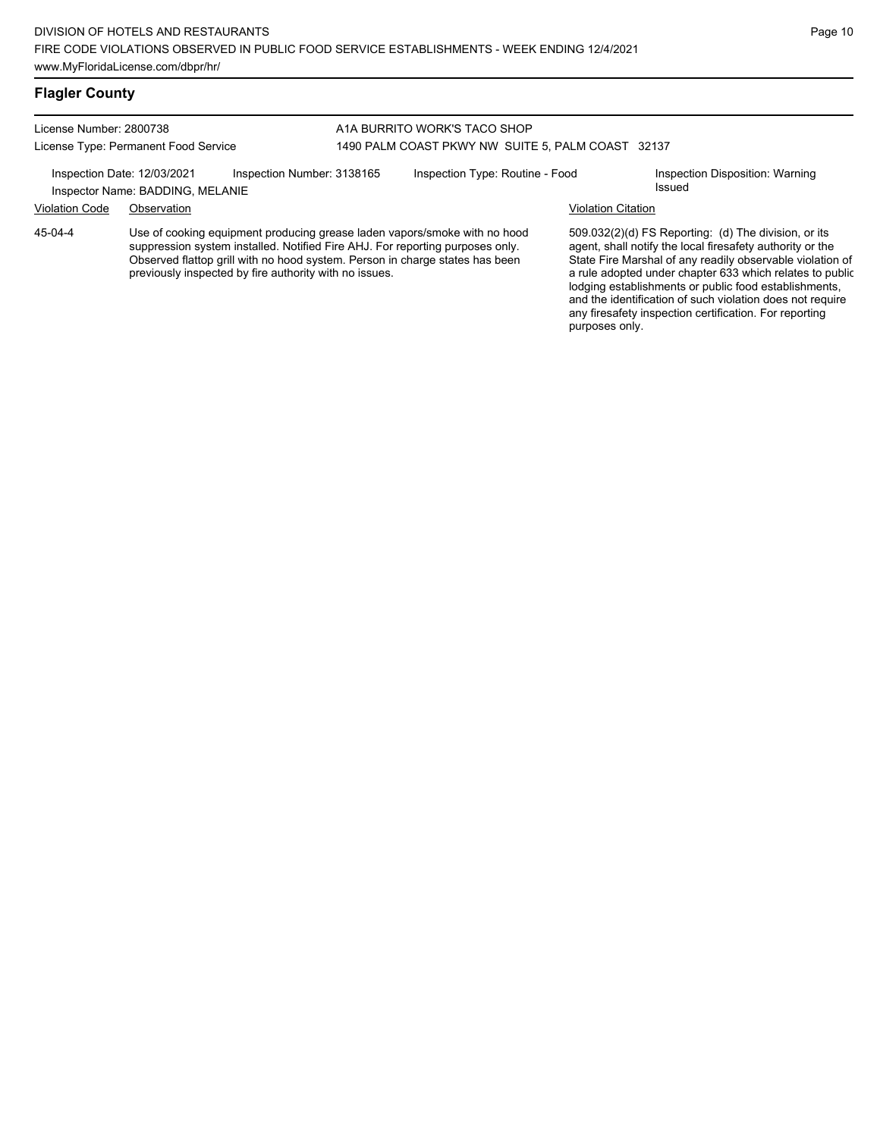#### **Flagler County**

### License Number: 2800738 License Type: Permanent Food Service

#### A1A BURRITO WORK'S TACO SHOP 1490 PALM COAST PKWY NW SUITE 5, PALM COAST 32137

Inspection Date: 12/03/2021 Inspection Number: 3138165 Inspection Type: Routine - Food Inspection Disposition: Warning

Inspector Name: BADDING, MELANIE

Violation Code Observation Violation Citation

Use of cooking equipment producing grease laden vapors/smoke with no hood suppression system installed. Notified Fire AHJ. For reporting purposes only. Observed flattop grill with no hood system. Person in charge states has been previously inspected by fire authority with no issues. 45-04-4

509.032(2)(d) FS Reporting: (d) The division, or its agent, shall notify the local firesafety authority or the State Fire Marshal of any readily observable violation of a rule adopted under chapter 633 which relates to public lodging establishments or public food establishments, and the identification of such violation does not require any firesafety inspection certification. For reporting purposes only.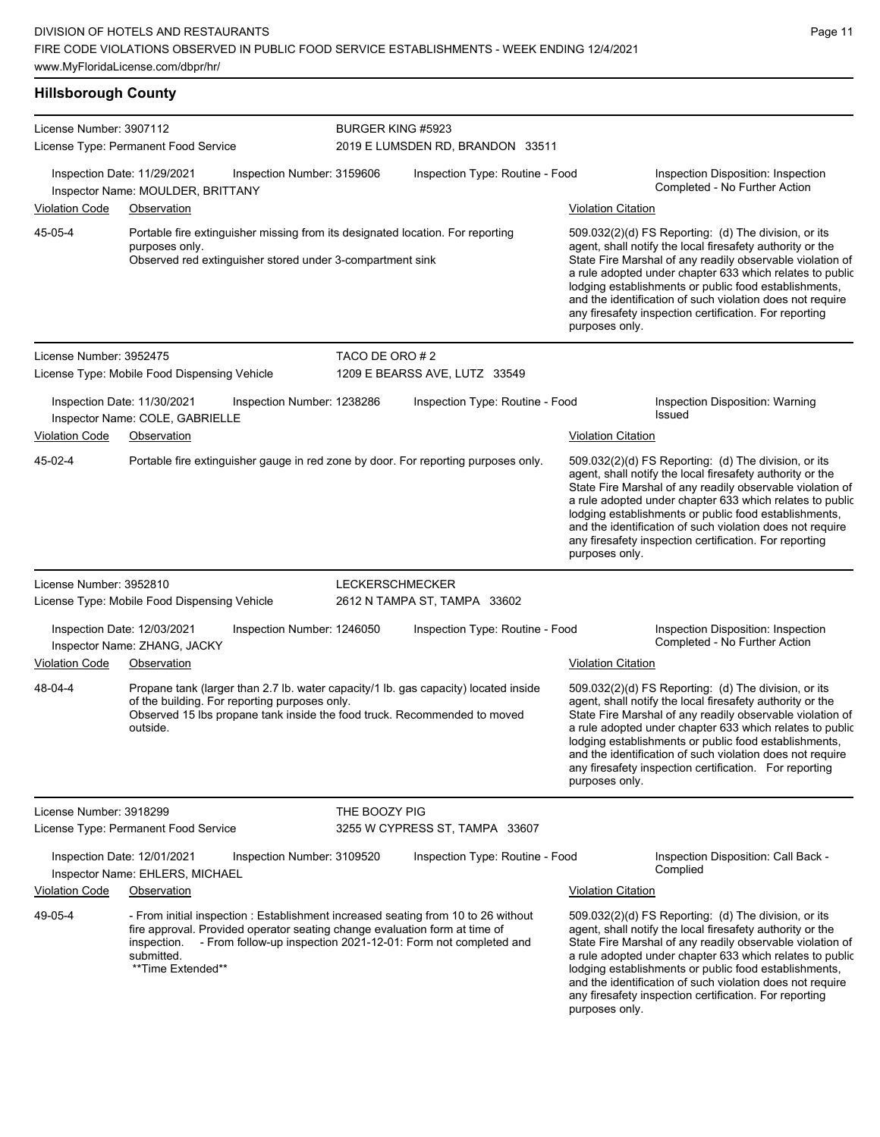**Hillsborough County** License Number: 3907112 License Type: Permanent Food Service BURGER KING #5923 2019 E LUMSDEN RD, BRANDON 33511 Inspection Date: 11/29/2021 Inspection Number: 3159606 Inspection Type: Routine - Food Inspection Disposition: Inspection Completed - No Further Action Inspector Name: MOULDER, BRITTANY Violation Code Observation Violation Citation Portable fire extinguisher missing from its designated location. For reporting purposes only. Observed red extinguisher stored under 3-compartment sink 509.032(2)(d) FS Reporting: (d) The division, or its agent, shall notify the local firesafety authority or the State Fire Marshal of any readily observable violation of a rule adopted under chapter 633 which relates to public lodging establishments or public food establishments, and the identification of such violation does not require any firesafety inspection certification. For reporting purposes only. 45-05-4 License Number: 3952475 License Type: Mobile Food Dispensing Vehicle TACO DE ORO # 2 1209 E BEARSS AVE, LUTZ 33549 Inspection Date: 11/30/2021 Inspection Number: 1238286 Inspection Type: Routine - Food Inspection Disposition: Warning Inspector Name: COLE, GABRIELLE Violation Code Observation Violation Citation Portable fire extinguisher gauge in red zone by door. For reporting purposes only. 509.032(2)(d) FS Reporting: (d) The division, or its agent, shall notify the local firesafety authority or the State Fire Marshal of any readily observable violation of a rule adopted under chapter 633 which relates to public lodging establishments or public food establishments, and the identification of such violation does not require any firesafety inspection certification. For reporting purposes only. 45-02-4 License Number: 3952810 License Type: Mobile Food Dispensing Vehicle LECKERSCHMECKER 2612 N TAMPA ST, TAMPA 33602 Inspection Date: 12/03/2021 Inspection Number: 1246050 Inspection Type: Routine - Food Inspection Disposition: Inspection Inspector Name: ZHANG, JACKY Violation Code Observation Violation Citation Propane tank (larger than 2.7 lb. water capacity/1 lb. gas capacity) located inside of the building. For reporting purposes only. Observed 15 lbs propane tank inside the food truck. Recommended to moved outside. 509.032(2)(d) FS Reporting: (d) The division, or its agent, shall notify the local firesafety authority or the State Fire Marshal of any readily observable violation of a rule adopted under chapter 633 which relates to public lodging establishments or public food establishments, and the identification of such violation does not require any firesafety inspection certification. For reporting purposes only. 48-04-4 License Number: 3918299 License Type: Permanent Food Service THE BOOZY PIG 3255 W CYPRESS ST, TAMPA 33607 Inspection Date: 12/01/2021 Inspection Number: 3109520 Inspection Type: Routine - Food Inspection Disposition: Call Back - Complied Inspector Name: EHLERS, MICHAEL Violation Code Observation Violation Citation - From initial inspection : Establishment increased seating from 10 to 26 without fire approval. Provided operator seating change evaluation form at time of inspection. - From follow-up inspection 2021-12-01: Form not completed and submitted. \*\*Time Extended\*\* 509.032(2)(d) FS Reporting: (d) The division, or its agent, shall notify the local firesafety authority or the State Fire Marshal of any readily observable violation of a rule adopted under chapter 633 which relates to public lodging establishments or public food establishments, and the identification of such violation does not require any firesafety inspection certification. For reporting 49-05-4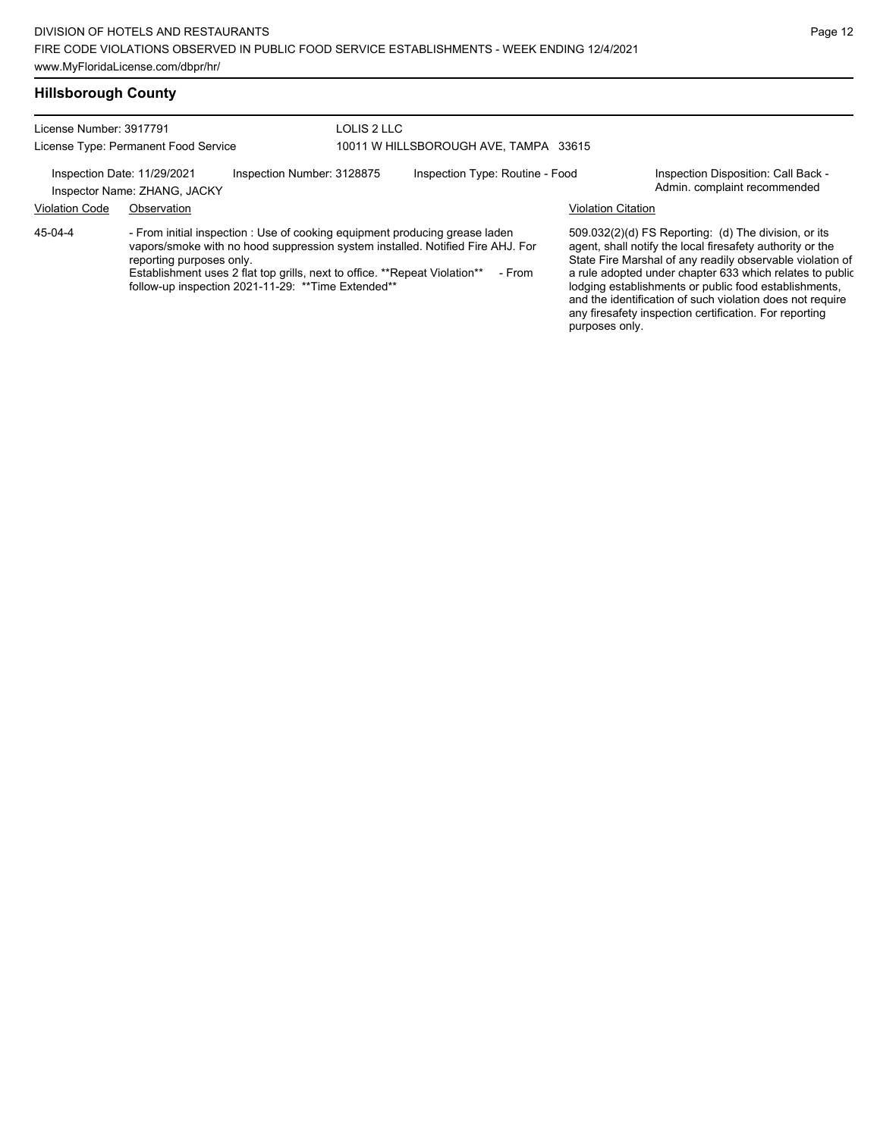#### **Hillsborough County**

License Number: 3917791

License Type: Permanent Food Service

LOLIS 2 LLC 10011 W HILLSBOROUGH AVE, TAMPA 33615

Inspection Date: 11/29/2021 Inspection Number: 3128875 Inspection Type: Routine - Food Inspection Disposition: Call Back -

Inspector Name: ZHANG, JACKY **Adminit recommended** Inspector Name: ZHANG, JACKY

Violation Code Observation Violation Citation

45-04-4

- From initial inspection : Use of cooking equipment producing grease laden vapors/smoke with no hood suppression system installed. Notified Fire AHJ. For reporting purposes only.

Establishment uses 2 flat top grills, next to office. \*\*Repeat Violation\*\* - From follow-up inspection 2021-11-29: \*\*Time Extended\*\*

509.032(2)(d) FS Reporting: (d) The division, or its agent, shall notify the local firesafety authority or the State Fire Marshal of any readily observable violation of a rule adopted under chapter 633 which relates to public lodging establishments or public food establishments, and the identification of such violation does not require any firesafety inspection certification. For reporting purposes only.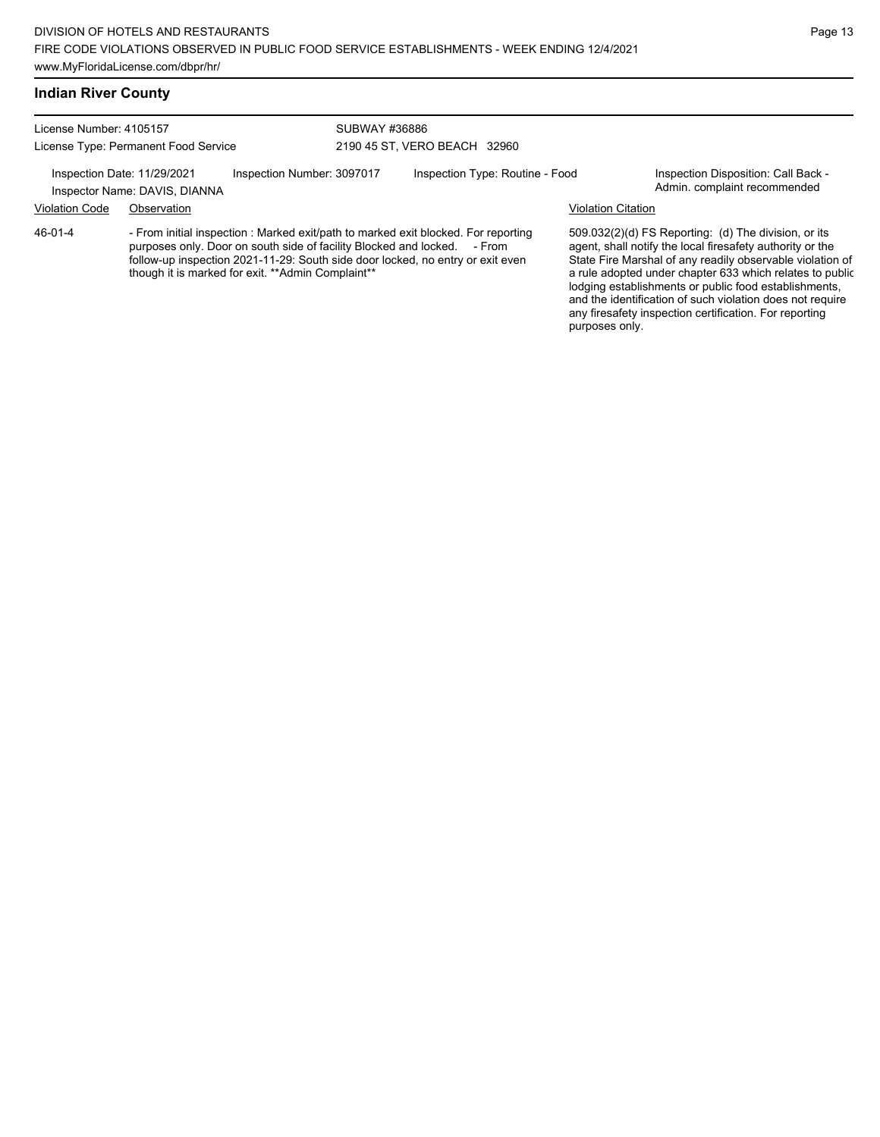# **Indian River County**

License Number: 4105157 License Type: Permanent Food Service

SUBWAY #36886 2190 45 ST, VERO BEACH 32960

Inspection Date: 11/29/2021 Inspection Number: 3097017 Inspection Type: Routine - Food Inspection Disposition: Call Back -

Inspector Name: DAVIS, DIANNA **Inspector Name: DAVIS, DIANNA** 

Violation Code Observation Violation Citation

46-01-4

- From initial inspection : Marked exit/path to marked exit blocked. For reporting purposes only. Door on south side of facility Blocked and locked. - From follow-up inspection 2021-11-29: South side door locked, no entry or exit even though it is marked for exit. \*\*Admin Complaint\*\*

509.032(2)(d) FS Reporting: (d) The division, or its agent, shall notify the local firesafety authority or the State Fire Marshal of any readily observable violation of a rule adopted under chapter 633 which relates to public lodging establishments or public food establishments, and the identification of such violation does not require any firesafety inspection certification. For reporting purposes only.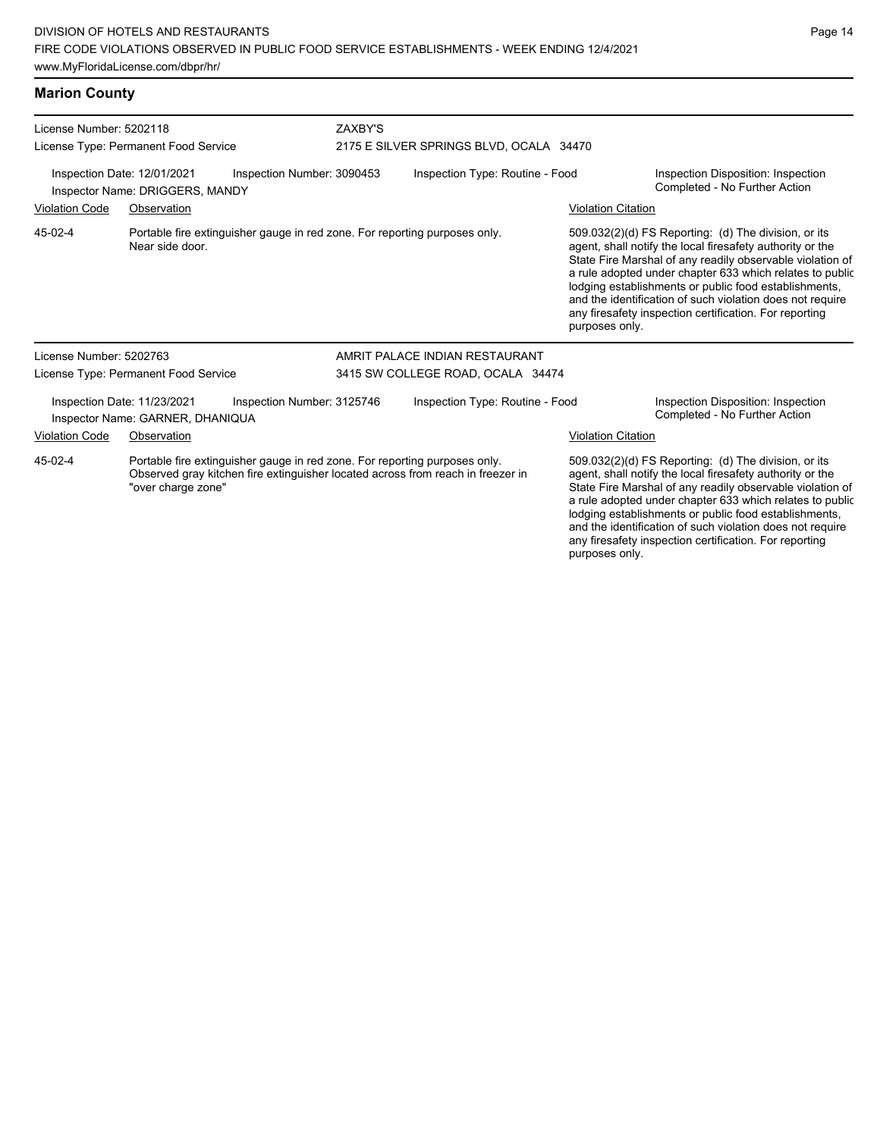**Marion County**

License Number: 5202118 License Type: Permanent Food Service ZAXBY'S 2175 E SILVER SPRINGS BLVD, OCALA 34470 Inspection Date: 12/01/2021 Inspection Number: 3090453 Inspection Type: Routine - Food Inspection Disposition: Inspection Inspector Name: DRIGGERS, MANDY Violation Code Observation Violation Citation Portable fire extinguisher gauge in red zone. For reporting purposes only. Near side door. 509.032(2)(d) FS Reporting: (d) The division, or its agent, shall notify the local firesafety authority or the State Fire Marshal of any readily observable violation of a rule adopted under chapter 633 which relates to public lodging establishments or public food establishments, and the identification of such violation does not require any firesafety inspection certification. For reporting purposes only. 45-02-4 License Number: 5202763 License Type: Permanent Food Service AMRIT PALACE INDIAN RESTAURANT 3415 SW COLLEGE ROAD, OCALA 34474 Inspection Date: 11/23/2021 Inspection Number: 3125746 Inspection Type: Routine - Food Inspection Disposition: Inspection Inspector Name: GARNER, DHANIQUA **Inspector Name: GARNER, DHANIQUA** Violation Code Observation Violation Citation Portable fire extinguisher gauge in red zone. For reporting purposes only. Observed gray kitchen fire extinguisher located across from reach in freezer in "over charge zone" 509.032(2)(d) FS Reporting: (d) The division, or its agent, shall notify the local firesafety authority or the State Fire Marshal of any readily observable violation of 45-02-4

a rule adopted under chapter 633 which relates to public lodging establishments or public food establishments, and the identification of such violation does not require any firesafety inspection certification. For reporting purposes only.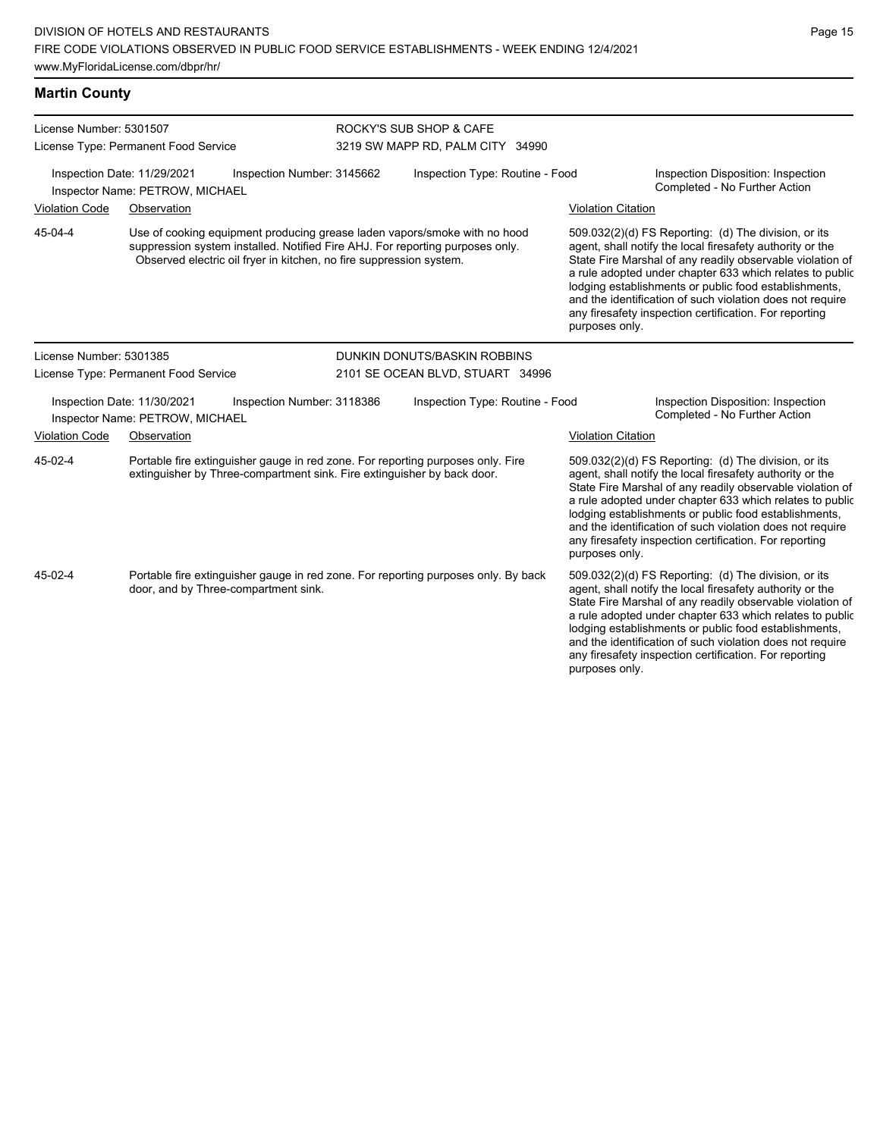**Martin County**

| License Number: 5301507<br>License Type: Permanent Food Service |                                      |                                                                         | ROCKY'S SUB SHOP & CAFE<br>3219 SW MAPP RD, PALM CITY 34990 |                                                                                                                                                            |                           |                                                                                                                                                                                                                                                                                                                                                                                                                            |
|-----------------------------------------------------------------|--------------------------------------|-------------------------------------------------------------------------|-------------------------------------------------------------|------------------------------------------------------------------------------------------------------------------------------------------------------------|---------------------------|----------------------------------------------------------------------------------------------------------------------------------------------------------------------------------------------------------------------------------------------------------------------------------------------------------------------------------------------------------------------------------------------------------------------------|
| Inspection Date: 11/29/2021                                     | Inspector Name: PETROW, MICHAEL      | Inspection Number: 3145662                                              |                                                             | Inspection Type: Routine - Food                                                                                                                            |                           | Inspection Disposition: Inspection<br>Completed - No Further Action                                                                                                                                                                                                                                                                                                                                                        |
| <b>Violation Code</b>                                           | Observation                          |                                                                         |                                                             |                                                                                                                                                            | <b>Violation Citation</b> |                                                                                                                                                                                                                                                                                                                                                                                                                            |
| 45-04-4                                                         |                                      | Observed electric oil fryer in kitchen, no fire suppression system.     |                                                             | Use of cooking equipment producing grease laden vapors/smoke with no hood<br>suppression system installed. Notified Fire AHJ. For reporting purposes only. | purposes only.            | 509.032(2)(d) FS Reporting: (d) The division, or its<br>agent, shall notify the local firesafety authority or the<br>State Fire Marshal of any readily observable violation of<br>a rule adopted under chapter 633 which relates to public<br>lodging establishments or public food establishments,<br>and the identification of such violation does not require<br>any firesafety inspection certification. For reporting |
| License Number: 5301385                                         |                                      |                                                                         |                                                             | DUNKIN DONUTS/BASKIN ROBBINS                                                                                                                               |                           |                                                                                                                                                                                                                                                                                                                                                                                                                            |
|                                                                 | License Type: Permanent Food Service |                                                                         |                                                             | 2101 SE OCEAN BLVD, STUART 34996                                                                                                                           |                           |                                                                                                                                                                                                                                                                                                                                                                                                                            |
| Inspection Date: 11/30/2021<br>Inspector Name: PETROW, MICHAEL  |                                      | Inspection Number: 3118386                                              |                                                             | Inspection Type: Routine - Food                                                                                                                            |                           | Inspection Disposition: Inspection<br>Completed - No Further Action                                                                                                                                                                                                                                                                                                                                                        |
| <b>Violation Code</b>                                           | Observation                          |                                                                         |                                                             |                                                                                                                                                            | <b>Violation Citation</b> |                                                                                                                                                                                                                                                                                                                                                                                                                            |
| 45-02-4                                                         |                                      | extinguisher by Three-compartment sink. Fire extinguisher by back door. |                                                             | Portable fire extinguisher gauge in red zone. For reporting purposes only. Fire                                                                            | purposes only.            | 509.032(2)(d) FS Reporting: (d) The division, or its<br>agent, shall notify the local firesafety authority or the<br>State Fire Marshal of any readily observable violation of<br>a rule adopted under chapter 633 which relates to public<br>lodging establishments or public food establishments,<br>and the identification of such violation does not require<br>any firesafety inspection certification. For reporting |
| 45-02-4                                                         |                                      | door, and by Three-compartment sink.                                    |                                                             | Portable fire extinguisher gauge in red zone. For reporting purposes only. By back                                                                         | purposes only.            | 509.032(2)(d) FS Reporting: (d) The division, or its<br>agent, shall notify the local firesafety authority or the<br>State Fire Marshal of any readily observable violation of<br>a rule adopted under chapter 633 which relates to public<br>lodging establishments or public food establishments,<br>and the identification of such violation does not require<br>any firesafety inspection certification. For reporting |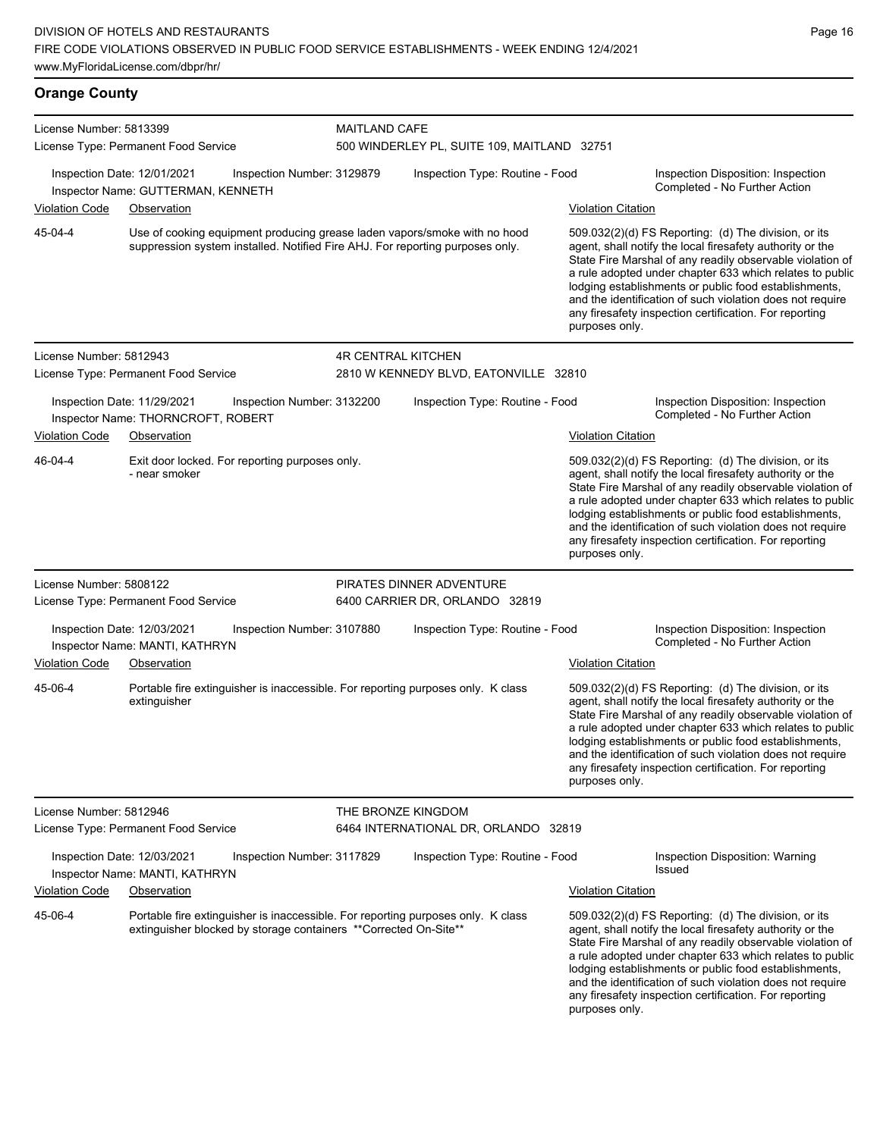**Orange County** License Number: 5813399 License Type: Permanent Food Service MAITLAND CAFE 500 WINDERLEY PL, SUITE 109, MAITLAND 32751 Inspection Date: 12/01/2021 Inspection Number: 3129879 Inspection Type: Routine - Food Inspection Disposition: Inspection Inspector Name: GUTTERMAN, KENNETH Name: The Second Liberal School of the Second Liberal School of Liberal School of Turking School of Turking School of Turking School of Turking School of Turking School of Turking School Violation Code Observation Violation Citation Use of cooking equipment producing grease laden vapors/smoke with no hood suppression system installed. Notified Fire AHJ. For reporting purposes only. 509.032(2)(d) FS Reporting: (d) The division, or its agent, shall notify the local firesafety authority or the State Fire Marshal of any readily observable violation of a rule adopted under chapter 633 which relates to public lodging establishments or public food establishments, and the identification of such violation does not require any firesafety inspection certification. For reporting purposes only. 45-04-4 License Number: 5812943 License Type: Permanent Food Service 4R CENTRAL KITCHEN 2810 W KENNEDY BLVD, EATONVILLE 32810 Inspection Date: 11/29/2021 Inspection Number: 3132200 Inspection Type: Routine - Food Inspection Disposition: Inspection Inspector Name: THORNCROFT, ROBERT **Inspector Name: THORNCROFT, ROBERT** Violation Code Observation Violation Citation Exit door locked. For reporting purposes only. - near smoker 509.032(2)(d) FS Reporting: (d) The division, or its agent, shall notify the local firesafety authority or the State Fire Marshal of any readily observable violation of a rule adopted under chapter 633 which relates to public lodging establishments or public food establishments, and the identification of such violation does not require any firesafety inspection certification. For reporting purposes only. 46-04-4 License Number: 5808122 License Type: Permanent Food Service PIRATES DINNER ADVENTURE 6400 CARRIER DR, ORLANDO 32819 Inspection Date: 12/03/2021 Inspection Number: 3107880 Inspection Type: Routine - Food Inspection Disposition: Inspection Inspector Name: MANTI, KATHRYN Violation Code Observation Violation Citation Portable fire extinguisher is inaccessible. For reporting purposes only. K class extinguisher 509.032(2)(d) FS Reporting: (d) The division, or its agent, shall notify the local firesafety authority or the State Fire Marshal of any readily observable violation of a rule adopted under chapter 633 which relates to public lodging establishments or public food establishments, and the identification of such violation does not require any firesafety inspection certification. For reporting purposes only. 45-06-4 License Number: 5812946 License Type: Permanent Food Service THE BRONZE KINGDOM 6464 INTERNATIONAL DR, ORLANDO 32819 Inspection Date: 12/03/2021 Inspection Number: 3117829 Inspection Type: Routine - Food Inspection Disposition: Warning Issued Inspector Name: MANTI, KATHRYN Violation Code Observation Violation Citation Portable fire extinguisher is inaccessible. For reporting purposes only. K class extinguisher blocked by storage containers \*\*Corrected On-Site\*\* 509.032(2)(d) FS Reporting: (d) The division, or its agent, shall notify the local firesafety authority or the State Fire Marshal of any readily observable violation of a rule adopted under chapter 633 which relates to public lodging establishments or public food establishments, and the identification of such violation does not require any firesafety inspection certification. For reporting 45-06-4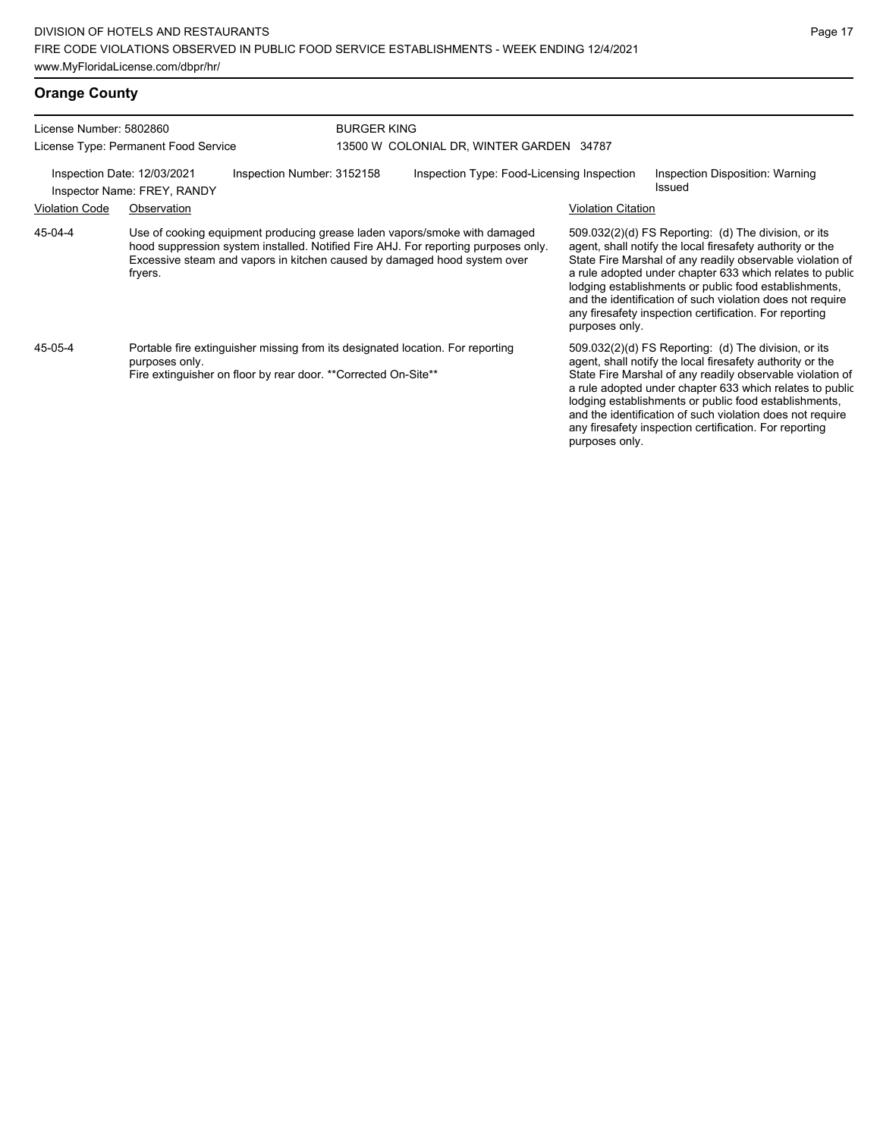| License Number: 5802860                                    |                                                                                                                                                                                                                                                        |                                                                                                                                                  | <b>BURGER KING</b> |                                            |                                                                                                                                                                                                                                                                                                                                                                                                                                                |                                                                                                                                                                                                                                                                                                                                                                                                                            |  |
|------------------------------------------------------------|--------------------------------------------------------------------------------------------------------------------------------------------------------------------------------------------------------------------------------------------------------|--------------------------------------------------------------------------------------------------------------------------------------------------|--------------------|--------------------------------------------|------------------------------------------------------------------------------------------------------------------------------------------------------------------------------------------------------------------------------------------------------------------------------------------------------------------------------------------------------------------------------------------------------------------------------------------------|----------------------------------------------------------------------------------------------------------------------------------------------------------------------------------------------------------------------------------------------------------------------------------------------------------------------------------------------------------------------------------------------------------------------------|--|
| License Type: Permanent Food Service                       |                                                                                                                                                                                                                                                        |                                                                                                                                                  |                    | 13500 W COLONIAL DR, WINTER GARDEN 34787   |                                                                                                                                                                                                                                                                                                                                                                                                                                                |                                                                                                                                                                                                                                                                                                                                                                                                                            |  |
| Inspection Date: 12/03/2021<br>Inspector Name: FREY, RANDY |                                                                                                                                                                                                                                                        | Inspection Number: 3152158                                                                                                                       |                    | Inspection Type: Food-Licensing Inspection |                                                                                                                                                                                                                                                                                                                                                                                                                                                | Inspection Disposition: Warning<br>Issued                                                                                                                                                                                                                                                                                                                                                                                  |  |
| <b>Violation Code</b>                                      | Observation                                                                                                                                                                                                                                            |                                                                                                                                                  |                    |                                            | <b>Violation Citation</b>                                                                                                                                                                                                                                                                                                                                                                                                                      |                                                                                                                                                                                                                                                                                                                                                                                                                            |  |
| 45-04-4                                                    | Use of cooking equipment producing grease laden vapors/smoke with damaged<br>hood suppression system installed. Notified Fire AHJ. For reporting purposes only.<br>Excessive steam and vapors in kitchen caused by damaged hood system over<br>fryers. |                                                                                                                                                  |                    |                                            | $509.032(2)(d)$ FS Reporting: (d) The division, or its<br>agent, shall notify the local firesafety authority or the<br>State Fire Marshal of any readily observable violation of<br>a rule adopted under chapter 633 which relates to public<br>lodging establishments or public food establishments,<br>and the identification of such violation does not require<br>any firesafety inspection certification. For reporting<br>purposes only. |                                                                                                                                                                                                                                                                                                                                                                                                                            |  |
| 45-05-4                                                    | purposes only.                                                                                                                                                                                                                                         | Portable fire extinguisher missing from its designated location. For reporting<br>Fire extinguisher on floor by rear door. **Corrected On-Site** |                    |                                            | purposes only.                                                                                                                                                                                                                                                                                                                                                                                                                                 | 509.032(2)(d) FS Reporting: (d) The division, or its<br>agent, shall notify the local firesafety authority or the<br>State Fire Marshal of any readily observable violation of<br>a rule adopted under chapter 633 which relates to public<br>lodging establishments or public food establishments,<br>and the identification of such violation does not require<br>any firesafety inspection certification. For reporting |  |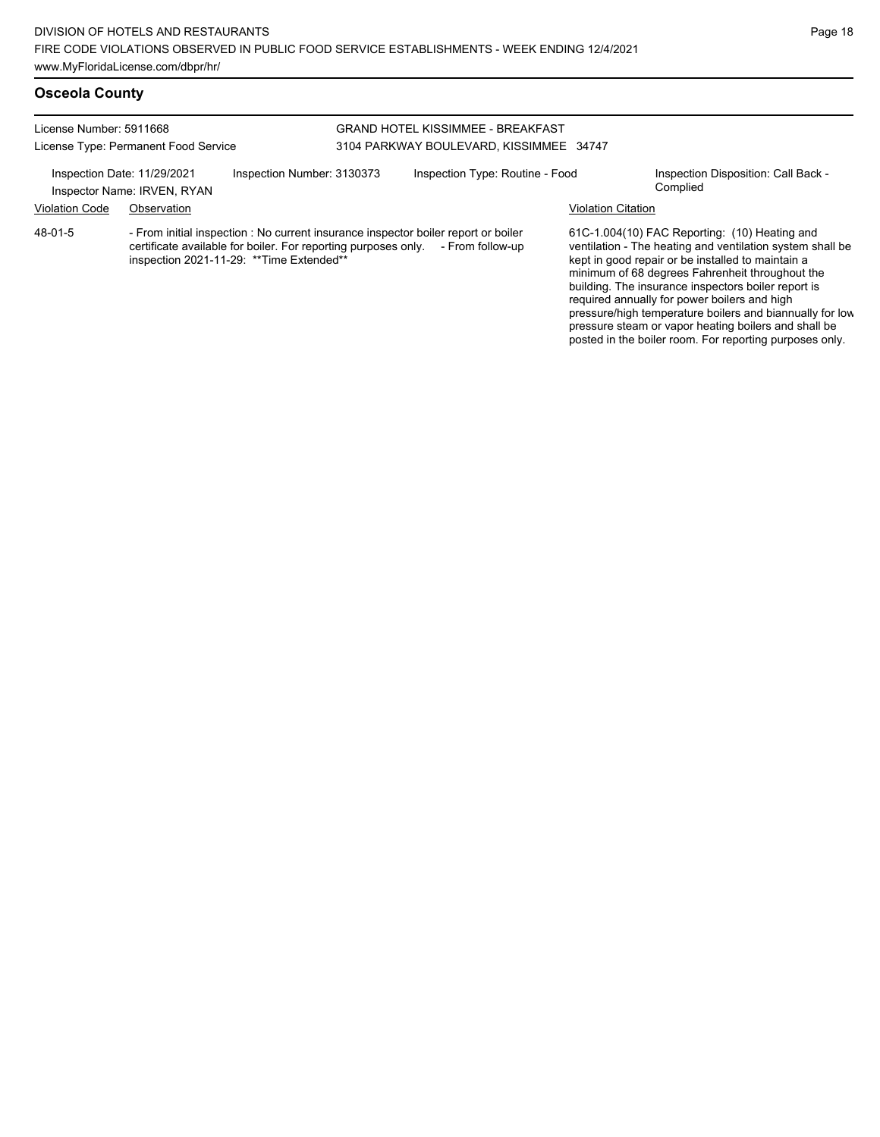| License Number: 5911668<br>License Type: Permanent Food Service                          |             |                                          | <b>GRAND HOTEL KISSIMMEE - BREAKFAST</b><br>3104 PARKWAY BOULEVARD, KISSIMMEE 34747 |                                                                                                                                                                       |                                                 |                                                                                                                                                                                                                    |
|------------------------------------------------------------------------------------------|-------------|------------------------------------------|-------------------------------------------------------------------------------------|-----------------------------------------------------------------------------------------------------------------------------------------------------------------------|-------------------------------------------------|--------------------------------------------------------------------------------------------------------------------------------------------------------------------------------------------------------------------|
| Inspection Number: 3130373<br>Inspection Date: 11/29/2021<br>Inspector Name: IRVEN, RYAN |             |                                          | Inspection Type: Routine - Food                                                     |                                                                                                                                                                       | Inspection Disposition: Call Back -<br>Complied |                                                                                                                                                                                                                    |
| <b>Violation Code</b>                                                                    | Observation |                                          |                                                                                     |                                                                                                                                                                       | <b>Violation Citation</b>                       |                                                                                                                                                                                                                    |
| 48-01-5                                                                                  |             | inspection 2021-11-29: **Time Extended** |                                                                                     | - From initial inspection : No current insurance inspector boiler report or boiler<br>certificate available for boiler. For reporting purposes only. - From follow-up |                                                 | 61C-1.004(10) FAC Reporting: (10) Heating and<br>ventilation - The heating and ventilation system shall be<br>kept in good repair or be installed to maintain a<br>minimum of 68 degrees Eabrepheit throughout the |

minimum of 68 degrees Fahrenheit throughout the building. The insurance inspectors boiler report is required annually for power boilers and high pressure/high temperature boilers and biannually for low pressure steam or vapor heating boilers and shall be posted in the boiler room. For reporting purposes only.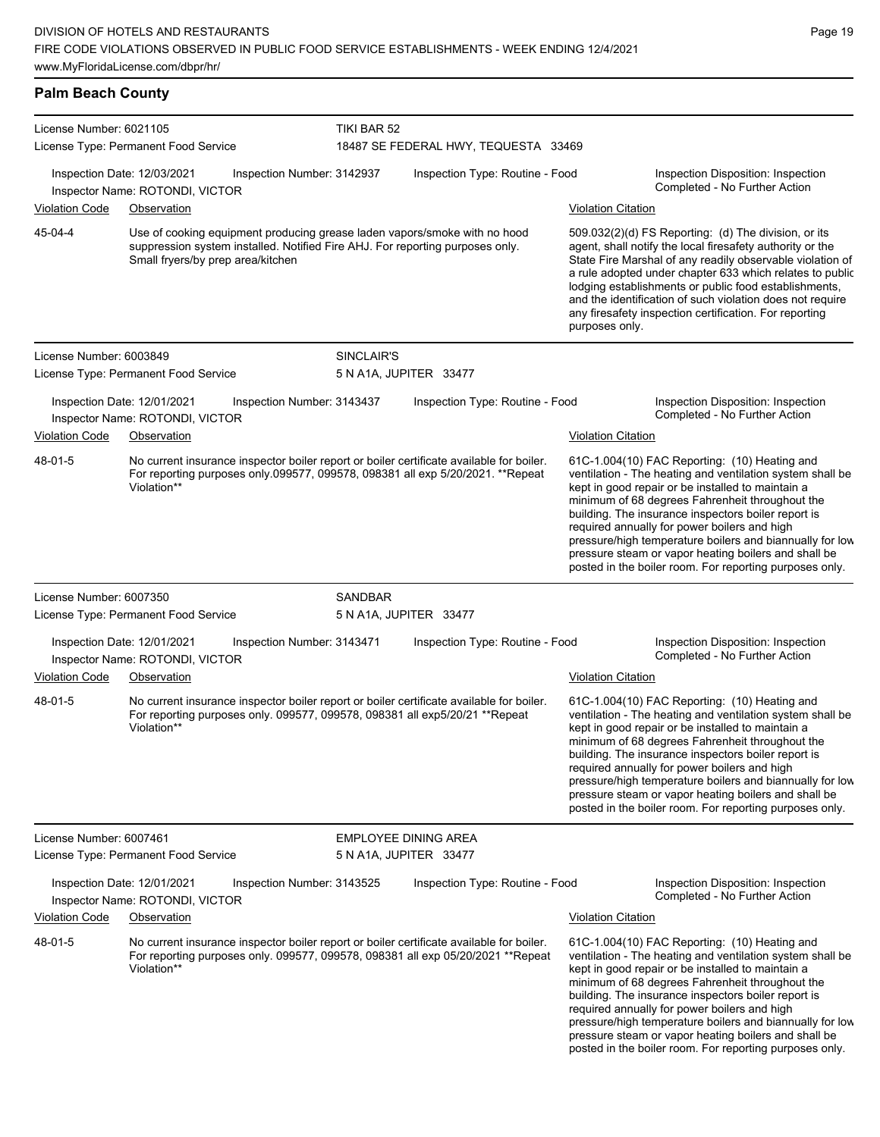License Type: Permanent Food Service

| <b>Palm Beach County</b> |                                                                |                            |             |                                                                                                                                                            |                           |                                                                                                                                                                                                                                                                                                                                                                                                                              |
|--------------------------|----------------------------------------------------------------|----------------------------|-------------|------------------------------------------------------------------------------------------------------------------------------------------------------------|---------------------------|------------------------------------------------------------------------------------------------------------------------------------------------------------------------------------------------------------------------------------------------------------------------------------------------------------------------------------------------------------------------------------------------------------------------------|
| License Number: 6021105  | License Type: Permanent Food Service                           |                            | TIKI BAR 52 | 18487 SE FEDERAL HWY, TEQUESTA 33469                                                                                                                       |                           |                                                                                                                                                                                                                                                                                                                                                                                                                              |
|                          | Inspection Date: 12/03/2021<br>Inspector Name: ROTONDI, VICTOR | Inspection Number: 3142937 |             | Inspection Type: Routine - Food                                                                                                                            |                           | Inspection Disposition: Inspection<br>Completed - No Further Action                                                                                                                                                                                                                                                                                                                                                          |
| <b>Violation Code</b>    | Observation                                                    |                            |             |                                                                                                                                                            | <b>Violation Citation</b> |                                                                                                                                                                                                                                                                                                                                                                                                                              |
| 45-04-4                  | Small fryers/by prep area/kitchen                              |                            |             | Use of cooking equipment producing grease laden vapors/smoke with no hood<br>suppression system installed. Notified Fire AHJ. For reporting purposes only. | purposes only.            | $509.032(2)(d)$ FS Reporting: (d) The division, or its<br>agent, shall notify the local firesafety authority or the<br>State Fire Marshal of any readily observable violation of<br>a rule adopted under chapter 633 which relates to public<br>lodging establishments or public food establishments,<br>and the identification of such violation does not require<br>any firesafety inspection certification. For reporting |
| License Number: 6003849  |                                                                |                            | SINCLAIR'S  |                                                                                                                                                            |                           |                                                                                                                                                                                                                                                                                                                                                                                                                              |

5 N A1A, JUPITER 33477

| <b>Violation Code</b><br>48-01-5                                                                                                                                                                      | Inspection Date: 12/01/2021<br>Inspector Name: ROTONDI, VICTOR<br>Observation<br>Violation** | Inspection Number: 3143437 |                                 | Inspection Type: Routine - Food<br>No current insurance inspector boiler report or boiler certificate available for boiler.<br>For reporting purposes only 099577, 099578, 098381 all exp 5/20/2021. **Repeat |  | <b>Violation Citation</b>                                           | Inspection Disposition: Inspection<br>Completed - No Further Action<br>61C-1.004(10) FAC Reporting: (10) Heating and<br>ventilation - The heating and ventilation system shall be<br>kept in good repair or be installed to maintain a<br>minimum of 68 degrees Fahrenheit throughout the<br>building. The insurance inspectors boiler report is<br>required annually for power boilers and high<br>pressure/high temperature boilers and biannually for low<br>pressure steam or vapor heating boilers and shall be<br>posted in the boiler room. For reporting purposes only. |
|-------------------------------------------------------------------------------------------------------------------------------------------------------------------------------------------------------|----------------------------------------------------------------------------------------------|----------------------------|---------------------------------|---------------------------------------------------------------------------------------------------------------------------------------------------------------------------------------------------------------|--|---------------------------------------------------------------------|---------------------------------------------------------------------------------------------------------------------------------------------------------------------------------------------------------------------------------------------------------------------------------------------------------------------------------------------------------------------------------------------------------------------------------------------------------------------------------------------------------------------------------------------------------------------------------|
| License Number: 6007350                                                                                                                                                                               |                                                                                              |                            | <b>SANDBAR</b>                  |                                                                                                                                                                                                               |  |                                                                     |                                                                                                                                                                                                                                                                                                                                                                                                                                                                                                                                                                                 |
|                                                                                                                                                                                                       | License Type: Permanent Food Service                                                         |                            | 5 N A1A, JUPITER 33477          |                                                                                                                                                                                                               |  |                                                                     |                                                                                                                                                                                                                                                                                                                                                                                                                                                                                                                                                                                 |
|                                                                                                                                                                                                       | Inspection Date: 12/01/2021<br>Inspector Name: ROTONDI, VICTOR                               | Inspection Number: 3143471 |                                 | Inspection Type: Routine - Food                                                                                                                                                                               |  |                                                                     | Inspection Disposition: Inspection<br>Completed - No Further Action                                                                                                                                                                                                                                                                                                                                                                                                                                                                                                             |
| <b>Violation Code</b>                                                                                                                                                                                 | Observation                                                                                  |                            |                                 |                                                                                                                                                                                                               |  | <b>Violation Citation</b>                                           |                                                                                                                                                                                                                                                                                                                                                                                                                                                                                                                                                                                 |
| 48-01-5                                                                                                                                                                                               | Violation**                                                                                  |                            |                                 | No current insurance inspector boiler report or boiler certificate available for boiler.<br>For reporting purposes only. 099577, 099578, 098381 all exp5/20/21 ** Repeat                                      |  |                                                                     | 61C-1.004(10) FAC Reporting: (10) Heating and<br>ventilation - The heating and ventilation system shall be<br>kept in good repair or be installed to maintain a<br>minimum of 68 degrees Fahrenheit throughout the<br>building. The insurance inspectors boiler report is<br>required annually for power boilers and high<br>pressure/high temperature boilers and biannually for low<br>pressure steam or vapor heating boilers and shall be<br>posted in the boiler room. For reporting purposes only.                                                                        |
| License Number: 6007461                                                                                                                                                                               |                                                                                              |                            | <b>EMPLOYEE DINING AREA</b>     |                                                                                                                                                                                                               |  |                                                                     |                                                                                                                                                                                                                                                                                                                                                                                                                                                                                                                                                                                 |
| License Type: Permanent Food Service                                                                                                                                                                  |                                                                                              |                            | 5 N A1A, JUPITER 33477          |                                                                                                                                                                                                               |  |                                                                     |                                                                                                                                                                                                                                                                                                                                                                                                                                                                                                                                                                                 |
| Inspection Date: 12/01/2021<br>Inspection Number: 3143525<br>Inspector Name: ROTONDI, VICTOR                                                                                                          |                                                                                              |                            | Inspection Type: Routine - Food |                                                                                                                                                                                                               |  | Inspection Disposition: Inspection<br>Completed - No Further Action |                                                                                                                                                                                                                                                                                                                                                                                                                                                                                                                                                                                 |
| <b>Violation Code</b>                                                                                                                                                                                 | Observation                                                                                  |                            |                                 |                                                                                                                                                                                                               |  | <b>Violation Citation</b>                                           |                                                                                                                                                                                                                                                                                                                                                                                                                                                                                                                                                                                 |
| 48-01-5<br>No current insurance inspector boiler report or boiler certificate available for boiler.<br>For reporting purposes only. 099577, 099578, 098381 all exp 05/20/2021 **Repeat<br>Violation** |                                                                                              |                            |                                 |                                                                                                                                                                                                               |  |                                                                     | 61C-1.004(10) FAC Reporting: (10) Heating and<br>ventilation - The heating and ventilation system shall be<br>kept in good repair or be installed to maintain a                                                                                                                                                                                                                                                                                                                                                                                                                 |

kept in good repair or be installed to maintain a minimum of 68 degrees Fahrenheit throughout the building. The insurance inspectors boiler report is required annually for power boilers and high pressure/high temperature boilers and biannually for low pressure steam or vapor heating boilers and shall be posted in the boiler room. For reporting purposes only.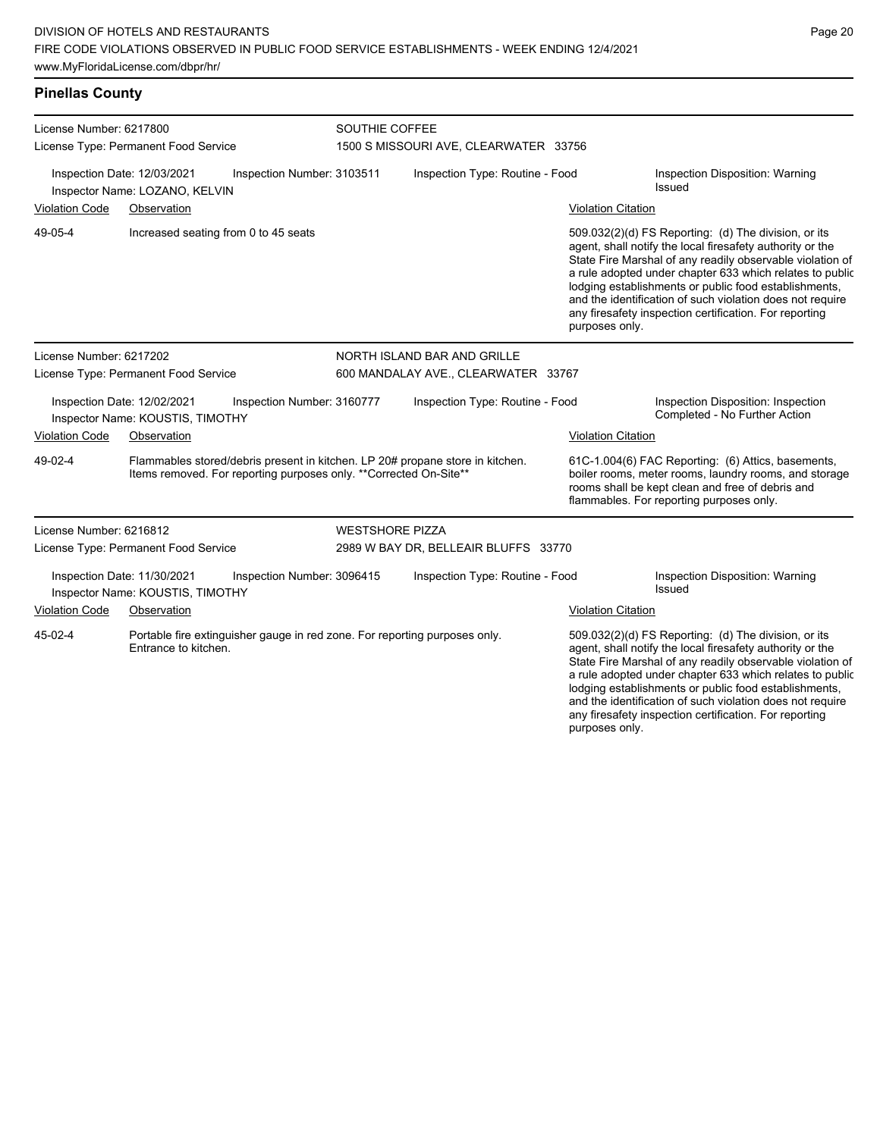**Pinellas County**

| License Number: 6217800<br>License Type: Permanent Food Service<br>Inspection Number: 3103511<br>Inspection Date: 12/03/2021<br>Inspector Name: LOZANO, KELVIN |                                                                 |                                                                   | SOUTHIE COFFEE<br>1500 S MISSOURI AVE, CLEARWATER 33756 |                                                                                                                                                                                                                                            |                                                                                                                                                                                                                                                                                                                                                                                                                                              |                                                                                                                                                                                                             |  |
|----------------------------------------------------------------------------------------------------------------------------------------------------------------|-----------------------------------------------------------------|-------------------------------------------------------------------|---------------------------------------------------------|--------------------------------------------------------------------------------------------------------------------------------------------------------------------------------------------------------------------------------------------|----------------------------------------------------------------------------------------------------------------------------------------------------------------------------------------------------------------------------------------------------------------------------------------------------------------------------------------------------------------------------------------------------------------------------------------------|-------------------------------------------------------------------------------------------------------------------------------------------------------------------------------------------------------------|--|
|                                                                                                                                                                |                                                                 |                                                                   |                                                         | Inspection Type: Routine - Food                                                                                                                                                                                                            |                                                                                                                                                                                                                                                                                                                                                                                                                                              | Inspection Disposition: Warning<br><b>Issued</b>                                                                                                                                                            |  |
| <b>Violation Code</b>                                                                                                                                          | Observation                                                     |                                                                   |                                                         |                                                                                                                                                                                                                                            | <b>Violation Citation</b>                                                                                                                                                                                                                                                                                                                                                                                                                    |                                                                                                                                                                                                             |  |
| 49-05-4                                                                                                                                                        |                                                                 | Increased seating from 0 to 45 seats                              |                                                         |                                                                                                                                                                                                                                            | 509.032(2)(d) FS Reporting: (d) The division, or its<br>agent, shall notify the local firesafety authority or the<br>State Fire Marshal of any readily observable violation of<br>a rule adopted under chapter 633 which relates to public<br>lodging establishments or public food establishments,<br>and the identification of such violation does not require<br>any firesafety inspection certification. For reporting<br>purposes only. |                                                                                                                                                                                                             |  |
| License Number: 6217202                                                                                                                                        |                                                                 |                                                                   | NORTH ISLAND BAR AND GRILLE                             |                                                                                                                                                                                                                                            |                                                                                                                                                                                                                                                                                                                                                                                                                                              |                                                                                                                                                                                                             |  |
|                                                                                                                                                                | License Type: Permanent Food Service                            |                                                                   | 600 MANDALAY AVE., CLEARWATER 33767                     |                                                                                                                                                                                                                                            |                                                                                                                                                                                                                                                                                                                                                                                                                                              |                                                                                                                                                                                                             |  |
|                                                                                                                                                                | Inspection Date: 12/02/2021<br>Inspector Name: KOUSTIS, TIMOTHY | Inspection Number: 3160777                                        |                                                         | Inspection Type: Routine - Food                                                                                                                                                                                                            |                                                                                                                                                                                                                                                                                                                                                                                                                                              | Inspection Disposition: Inspection<br>Completed - No Further Action                                                                                                                                         |  |
| <b>Violation Code</b>                                                                                                                                          | Observation                                                     |                                                                   |                                                         |                                                                                                                                                                                                                                            | <b>Violation Citation</b>                                                                                                                                                                                                                                                                                                                                                                                                                    |                                                                                                                                                                                                             |  |
| 49-02-4                                                                                                                                                        |                                                                 | Items removed. For reporting purposes only. **Corrected On-Site** |                                                         | Flammables stored/debris present in kitchen. LP 20# propane store in kitchen.                                                                                                                                                              |                                                                                                                                                                                                                                                                                                                                                                                                                                              | 61C-1.004(6) FAC Reporting: (6) Attics, basements,<br>boiler rooms, meter rooms, laundry rooms, and storage<br>rooms shall be kept clean and free of debris and<br>flammables. For reporting purposes only. |  |
| License Number: 6216812                                                                                                                                        |                                                                 |                                                                   | <b>WESTSHORE PIZZA</b>                                  |                                                                                                                                                                                                                                            |                                                                                                                                                                                                                                                                                                                                                                                                                                              |                                                                                                                                                                                                             |  |
|                                                                                                                                                                | License Type: Permanent Food Service                            |                                                                   |                                                         | 2989 W BAY DR, BELLEAIR BLUFFS 33770                                                                                                                                                                                                       |                                                                                                                                                                                                                                                                                                                                                                                                                                              |                                                                                                                                                                                                             |  |
|                                                                                                                                                                | Inspection Date: 11/30/2021<br>Inspector Name: KOUSTIS, TIMOTHY | Inspection Number: 3096415                                        |                                                         | Inspection Type: Routine - Food                                                                                                                                                                                                            |                                                                                                                                                                                                                                                                                                                                                                                                                                              | Inspection Disposition: Warning<br><b>Issued</b>                                                                                                                                                            |  |
| Violation Code<br>Observation                                                                                                                                  |                                                                 |                                                                   |                                                         | <b>Violation Citation</b>                                                                                                                                                                                                                  |                                                                                                                                                                                                                                                                                                                                                                                                                                              |                                                                                                                                                                                                             |  |
| 45-02-4<br>Portable fire extinguisher gauge in red zone. For reporting purposes only.<br>Entrance to kitchen.                                                  |                                                                 |                                                                   |                                                         | 509.032(2)(d) FS Reporting: (d) The division, or its<br>agent, shall notify the local firesafety authority or the<br>State Fire Marshal of any readily observable violation of<br>a rule adopted under chapter 633 which relates to public |                                                                                                                                                                                                                                                                                                                                                                                                                                              |                                                                                                                                                                                                             |  |

lodging establishments or public food establishments, and the identification of such violation does not require any firesafety inspection certification. For reporting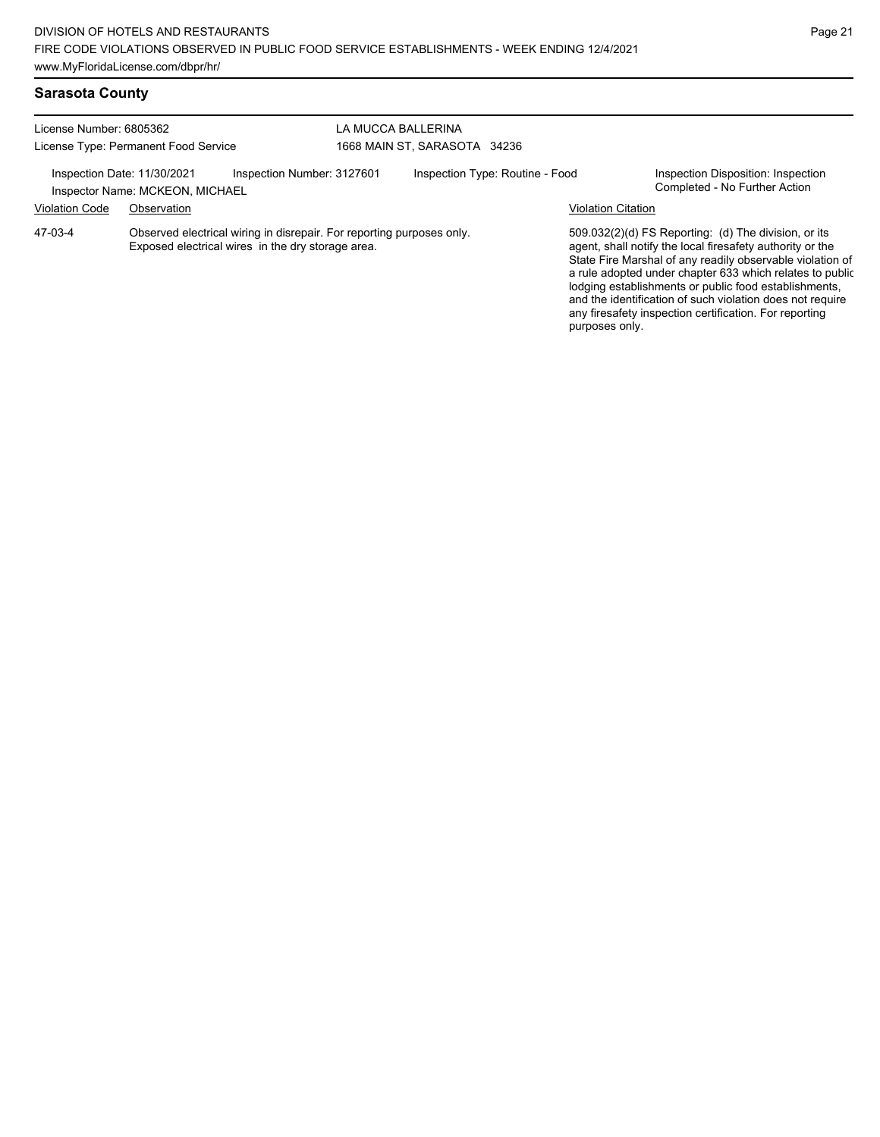| License Number: 6805362<br>License Type: Permanent Food Service                              |             |                                                                                                                            | LA MUCCA BALLERINA<br>1668 MAIN ST. SARASOTA 34236 |                                 |                           |                                                                                                                                                                                                                                                                                                                                                                                                                            |
|----------------------------------------------------------------------------------------------|-------------|----------------------------------------------------------------------------------------------------------------------------|----------------------------------------------------|---------------------------------|---------------------------|----------------------------------------------------------------------------------------------------------------------------------------------------------------------------------------------------------------------------------------------------------------------------------------------------------------------------------------------------------------------------------------------------------------------------|
| Inspection Number: 3127601<br>Inspection Date: 11/30/2021<br>Inspector Name: MCKEON, MICHAEL |             |                                                                                                                            |                                                    | Inspection Type: Routine - Food |                           | Inspection Disposition: Inspection<br>Completed - No Further Action                                                                                                                                                                                                                                                                                                                                                        |
| <b>Violation Code</b>                                                                        | Observation |                                                                                                                            |                                                    |                                 | <b>Violation Citation</b> |                                                                                                                                                                                                                                                                                                                                                                                                                            |
| 47-03-4                                                                                      |             | Observed electrical wiring in disrepair. For reporting purposes only.<br>Exposed electrical wires in the dry storage area. |                                                    |                                 |                           | 509.032(2)(d) FS Reporting: (d) The division, or its<br>agent, shall notify the local firesafety authority or the<br>State Fire Marshal of any readily observable violation of<br>a rule adopted under chapter 633 which relates to public<br>lodging establishments or public food establishments,<br>and the identification of such violation does not require<br>any firesafety inspection certification. For reporting |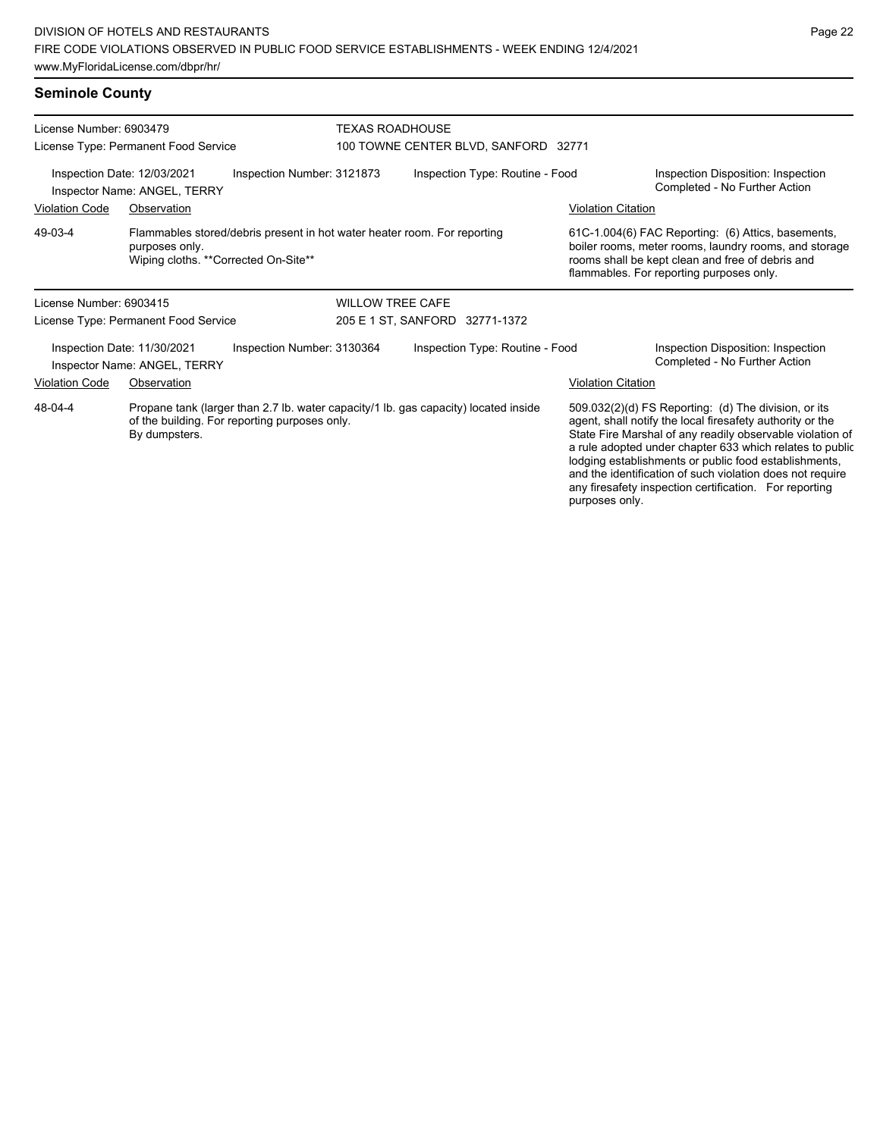| <b>Seminole County</b>                                                                                                                                           |                                                                                                                                     |                            |                                      |                           |                                                                                                                                                                                                                                                                                                     |  |  |  |
|------------------------------------------------------------------------------------------------------------------------------------------------------------------|-------------------------------------------------------------------------------------------------------------------------------------|----------------------------|--------------------------------------|---------------------------|-----------------------------------------------------------------------------------------------------------------------------------------------------------------------------------------------------------------------------------------------------------------------------------------------------|--|--|--|
| License Number: 6903479<br>License Type: Permanent Food Service                                                                                                  |                                                                                                                                     |                            | <b>TEXAS ROADHOUSE</b>               |                           |                                                                                                                                                                                                                                                                                                     |  |  |  |
|                                                                                                                                                                  |                                                                                                                                     |                            | 100 TOWNE CENTER BLVD, SANFORD 32771 |                           |                                                                                                                                                                                                                                                                                                     |  |  |  |
| Inspection Date: 12/03/2021<br>Inspector Name: ANGEL, TERRY                                                                                                      |                                                                                                                                     | Inspection Number: 3121873 | Inspection Type: Routine - Food      |                           | Inspection Disposition: Inspection<br>Completed - No Further Action                                                                                                                                                                                                                                 |  |  |  |
| <b>Violation Code</b>                                                                                                                                            | Observation                                                                                                                         |                            |                                      | <b>Violation Citation</b> |                                                                                                                                                                                                                                                                                                     |  |  |  |
| 49-03-4                                                                                                                                                          | Flammables stored/debris present in hot water heater room. For reporting<br>purposes only.<br>Wiping cloths. ** Corrected On-Site** |                            |                                      |                           | 61C-1.004(6) FAC Reporting: (6) Attics, basements,<br>boiler rooms, meter rooms, laundry rooms, and storage<br>rooms shall be kept clean and free of debris and<br>flammables. For reporting purposes only.                                                                                         |  |  |  |
| License Number: 6903415                                                                                                                                          |                                                                                                                                     | <b>WILLOW TREE CAFE</b>    |                                      |                           |                                                                                                                                                                                                                                                                                                     |  |  |  |
| License Type: Permanent Food Service                                                                                                                             |                                                                                                                                     |                            | 205 E 1 ST, SANFORD 32771-1372       |                           |                                                                                                                                                                                                                                                                                                     |  |  |  |
| Inspection Date: 11/30/2021<br>Inspector Name: ANGEL, TERRY                                                                                                      |                                                                                                                                     | Inspection Number: 3130364 | Inspection Type: Routine - Food      |                           | Inspection Disposition: Inspection<br>Completed - No Further Action                                                                                                                                                                                                                                 |  |  |  |
| Violation Code                                                                                                                                                   | Observation                                                                                                                         |                            |                                      | <b>Violation Citation</b> |                                                                                                                                                                                                                                                                                                     |  |  |  |
| 48-04-4<br>Propane tank (larger than 2.7 lb. water capacity/1 lb. gas capacity) located inside<br>of the building. For reporting purposes only.<br>By dumpsters. |                                                                                                                                     |                            |                                      |                           | 509.032(2)(d) FS Reporting: (d) The division, or its<br>agent, shall notify the local firesafety authority or the<br>State Fire Marshal of any readily observable violation of<br>a rule adopted under chapter 633 which relates to public<br>lodging establishments or public food establishments, |  |  |  |

and the identification of such violation does not require any firesafety inspection certification. For reporting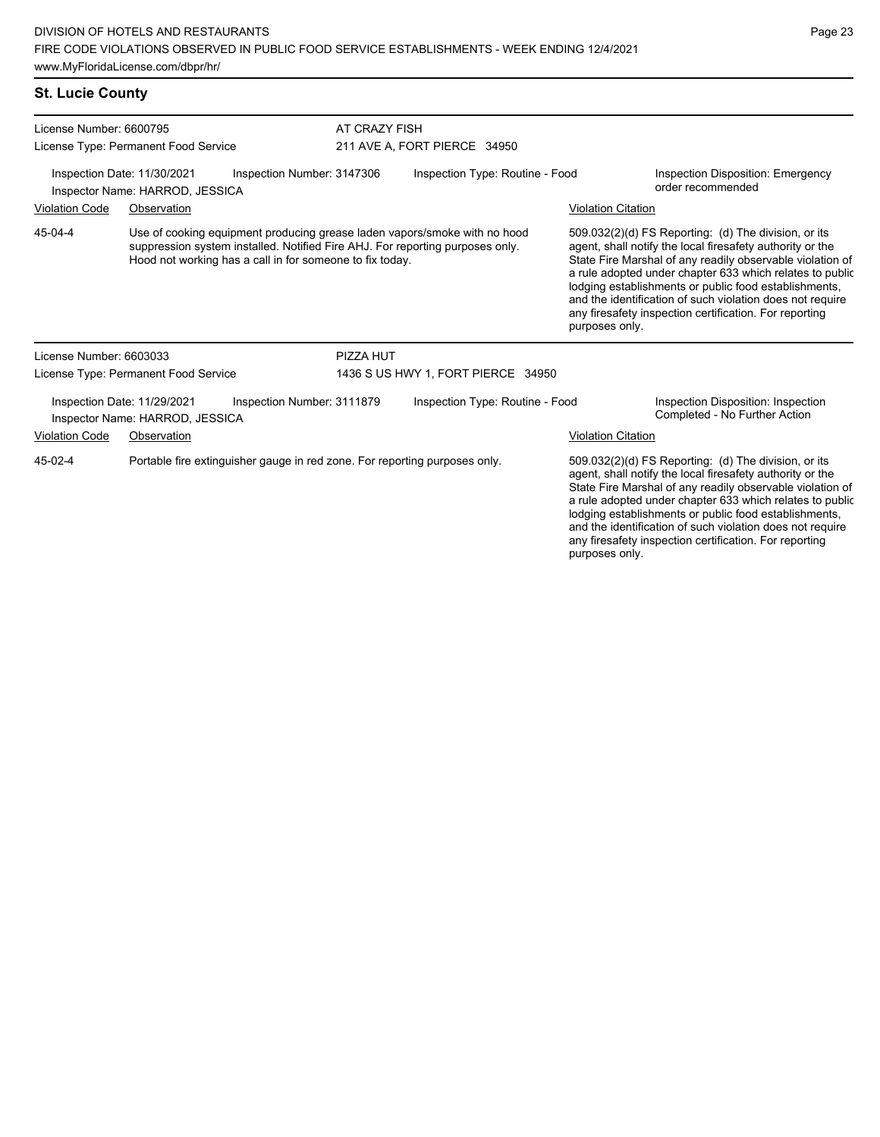| License Number: 6600795 |                                                                                                                                                                                                                        | AT CRAZY FISH              |                                    |                           |                                                                                                                                                                                                                                                                                                                                                                                                                            |
|-------------------------|------------------------------------------------------------------------------------------------------------------------------------------------------------------------------------------------------------------------|----------------------------|------------------------------------|---------------------------|----------------------------------------------------------------------------------------------------------------------------------------------------------------------------------------------------------------------------------------------------------------------------------------------------------------------------------------------------------------------------------------------------------------------------|
|                         | License Type: Permanent Food Service                                                                                                                                                                                   |                            | 211 AVE A, FORT PIERCE 34950       |                           |                                                                                                                                                                                                                                                                                                                                                                                                                            |
|                         | Inspection Date: 11/30/2021<br>Inspector Name: HARROD, JESSICA                                                                                                                                                         | Inspection Number: 3147306 | Inspection Type: Routine - Food    |                           | Inspection Disposition: Emergency<br>order recommended                                                                                                                                                                                                                                                                                                                                                                     |
| <b>Violation Code</b>   | Observation                                                                                                                                                                                                            |                            |                                    | <b>Violation Citation</b> |                                                                                                                                                                                                                                                                                                                                                                                                                            |
| 45-04-4                 | Use of cooking equipment producing grease laden vapors/smoke with no hood<br>suppression system installed. Notified Fire AHJ. For reporting purposes only.<br>Hood not working has a call in for someone to fix today. |                            |                                    | purposes only.            | 509.032(2)(d) FS Reporting: (d) The division, or its<br>agent, shall notify the local firesafety authority or the<br>State Fire Marshal of any readily observable violation of<br>a rule adopted under chapter 633 which relates to public<br>lodging establishments or public food establishments,<br>and the identification of such violation does not require<br>any firesafety inspection certification. For reporting |
| License Number: 6603033 |                                                                                                                                                                                                                        | PIZZA HUT                  |                                    |                           |                                                                                                                                                                                                                                                                                                                                                                                                                            |
|                         | License Type: Permanent Food Service                                                                                                                                                                                   |                            | 1436 S US HWY 1, FORT PIERCE 34950 |                           |                                                                                                                                                                                                                                                                                                                                                                                                                            |
|                         | Inspection Date: 11/29/2021<br>Inspector Name: HARROD, JESSICA                                                                                                                                                         | Inspection Number: 3111879 | Inspection Type: Routine - Food    |                           | Inspection Disposition: Inspection<br>Completed - No Further Action                                                                                                                                                                                                                                                                                                                                                        |
| <b>Violation Code</b>   | Observation                                                                                                                                                                                                            |                            |                                    | <b>Violation Citation</b> |                                                                                                                                                                                                                                                                                                                                                                                                                            |
| 45-02-4                 | Portable fire extinguisher gauge in red zone. For reporting purposes only.                                                                                                                                             |                            |                                    |                           | 509.032(2)(d) FS Reporting: (d) The division, or its<br>agent, shall notify the local firesafety authority or the<br>State Fire Marshal of any readily observable violation of<br>a rule adopted under chapter 633 which relates to public<br>lodging establishments or public food establishments,                                                                                                                        |

and the identification of such violation does not require any firesafety inspection certification. For reporting